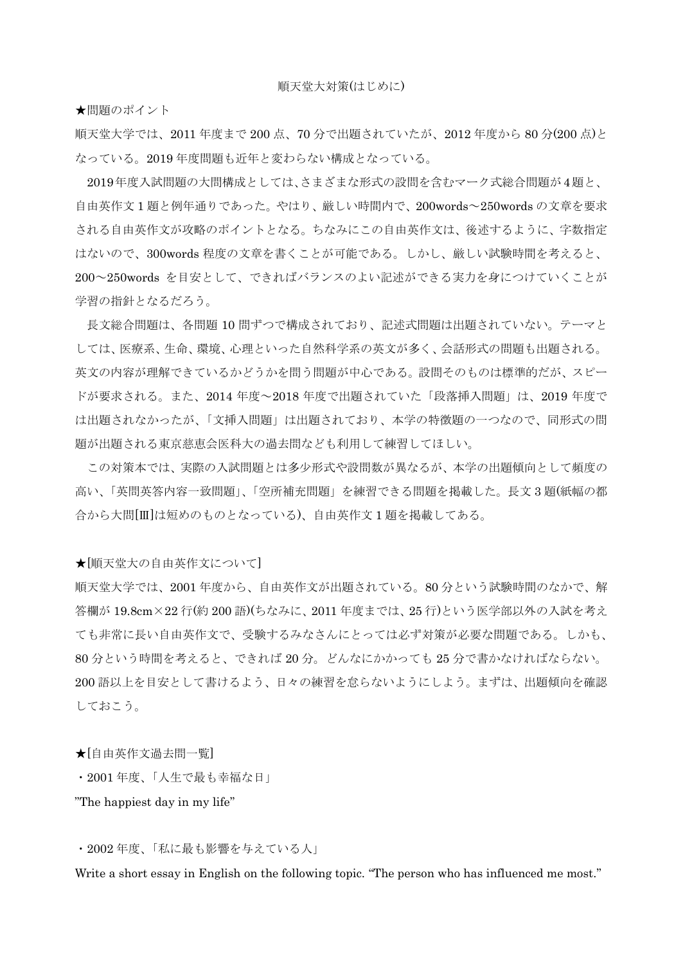★問題のポイント

順天堂大学では、2011 年度まで 200 点、70 分で出題されていたが、2012 年度から 80 分(200 点)と なっている。2019 年度問題も近年と変わらない構成となっている。

2019年度入試問題の大問構成としては、さまざまな形式の設問を含むマーク式総合問題が 4題と、 自由英作文 1 題と例年通りであった。やはり、厳しい時間内で、200words~250words の文章を要求 される自由英作文が攻略のポイントとなる。ちなみにこの自由英作文は、後述するように、字数指定 はないので、300words 程度の文章を書くことが可能である。しかし、厳しい試験時間を考えると、 200~250words を目安として、できればバランスのよい記述ができる実力を身につけていくことが 学習の指針となるだろう。

長文総合問題は、各問題 10 問ずつで構成されており、記述式問題は出題されていない。テーマと しては、医療系、生命、環境、心理といった自然科学系の英文が多く、会話形式の問題も出題される。 英文の内容が理解できているかどうかを問う問題が中心である。設問そのものは標準的だが、スピー ドが要求される。また、2014 年度~2018 年度で出題されていた「段落挿入問題」は、2019 年度で は出題されなかったが、「文挿入問題」は出題されており、本学の特徴題の一つなので、同形式の問 題が出題される東京慈恵会医科大の過去問なども利用して練習してほしい。

この対策本では、実際の入試問題とは多少形式や設問数が異なるが、本学の出題傾向として頻度の 高い、「英問英答内容一致問題」、「空所補充問題」を練習できる問題を掲載した。長文 3 題(紙幅の都 合から大問[Ⅲ]は短めのものとなっている)、自由英作文 1 題を掲載してある。

★[順天堂大の自由英作文について]

順天堂大学では、2001 年度から、自由英作文が出題されている。80 分という試験時間のなかで、解 答欄が 19.8cm×22 行(約 200 語)(ちなみに、2011 年度までは、25 行)という医学部以外の入試を考え ても非常に長い自由英作文で、受験するみなさんにとっては必ず対策が必要な問題である。しかも、 80 分という時間を考えると、できれば 20 分。どんなにかかっても 25 分で書かなければならない。 200 語以上を目安として書けるよう、日々の練習を怠らないようにしよう。まずは、出題傾向を確認 しておこう。

★[自由英作文過去問一覧]

・2001 年度、「人生で最も幸福な日」

"The happiest day in my life"

・2002 年度、「私に最も影響を与えている人」

Write a short essay in English on the following topic. "The person who has influenced me most."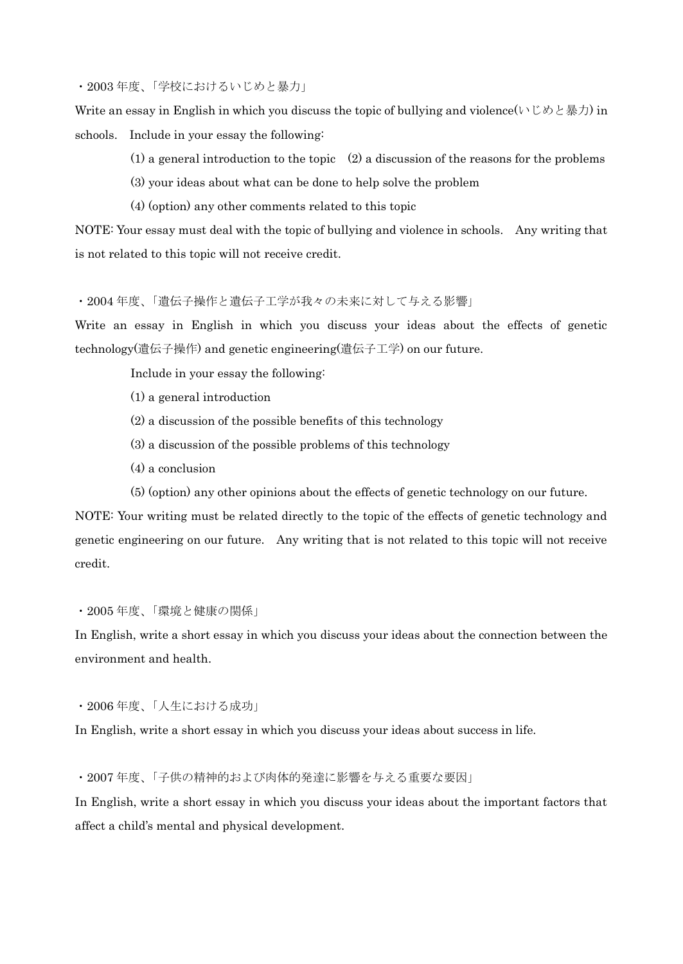・2003 年度、「学校におけるいじめと暴力」

Write an essay in English in which you discuss the topic of bullying and violence(いじめと暴力) in schools. Include in your essay the following:

(1) a general introduction to the topic (2) a discussion of the reasons for the problems

(3) your ideas about what can be done to help solve the problem

(4) (option) any other comments related to this topic

NOTE: Your essay must deal with the topic of bullying and violence in schools. Any writing that is not related to this topic will not receive credit.

・2004 年度、「遺伝子操作と遺伝子工学が我々の未来に対して与える影響」

Write an essay in English in which you discuss your ideas about the effects of genetic technology(遺伝子操作) and genetic engineering(遺伝子工学) on our future.

Include in your essay the following:

- (1) a general introduction
- (2) a discussion of the possible benefits of this technology
- (3) a discussion of the possible problems of this technology
- (4) a conclusion
- (5) (option) any other opinions about the effects of genetic technology on our future.

NOTE: Your writing must be related directly to the topic of the effects of genetic technology and genetic engineering on our future. Any writing that is not related to this topic will not receive credit.

・2005 年度、「環境と健康の関係」

In English, write a short essay in which you discuss your ideas about the connection between the environment and health.

・2006 年度、「人生における成功」

In English, write a short essay in which you discuss your ideas about success in life.

・2007 年度、「子供の精神的および肉体的発達に影響を与える重要な要因」

In English, write a short essay in which you discuss your ideas about the important factors that affect a child's mental and physical development.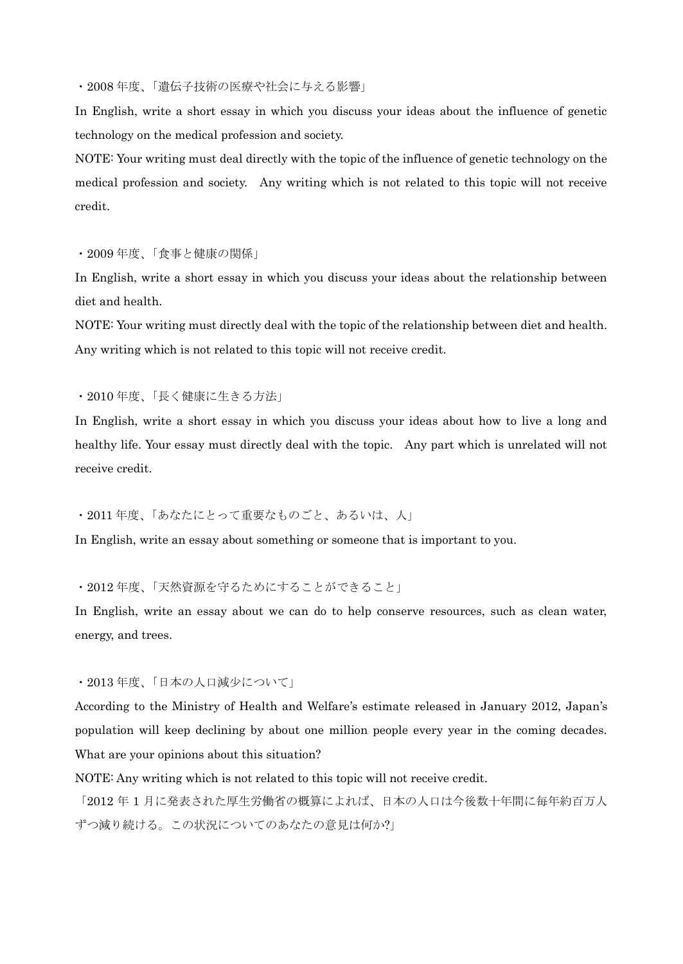・2008 年度、「遺伝子技術の医療や社会に与える影響」

In English, write a short essay in which you discuss your ideas about the influence of genetic technology on the medical profession and society.

NOTE: Your writing must deal directly with the topic of the influence of genetic technology on the medical profession and society. Any writing which is not related to this topic will not receive credit.

・2009 年度、「食事と健康の関係」

In English, write a short essay in which you discuss your ideas about the relationship between diet and health.

NOTE: Your writing must directly deal with the topic of the relationship between diet and health. Any writing which is not related to this topic will not receive credit.

・2010 年度、「長く健康に生きる方法」

In English, write a short essay in which you discuss your ideas about how to live a long and healthy life. Your essay must directly deal with the topic. Any part which is unrelated will not receive credit.

・2011 年度、「あなたにとって重要なものごと、あるいは、人」

In English, write an essay about something or someone that is important to you.

・2012 年度、「天然資源を守るためにすることができること」

In English, write an essay about we can do to help conserve resources, such as clean water, energy, and trees.

・2013 年度、「日本の人口減少について」

According to the Ministry of Health and Welfare's estimate released in January 2012, Japan's population will keep declining by about one million people every year in the coming decades. What are your opinions about this situation?

NOTE: Any writing which is not related to this topic will not receive credit.

「2012 年 1 月に発表された厚生労働省の概算によれば、日本の人口は今後数十年間に毎年約百万人 ずつ減り続ける。この状況についてのあなたの意見は何か?」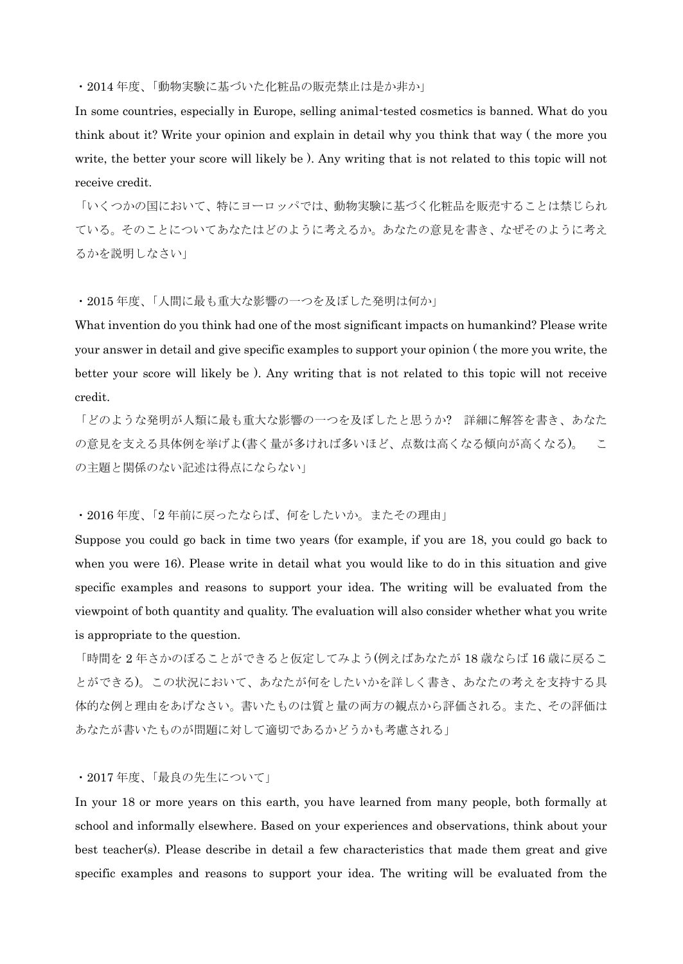・2014 年度、「動物実験に基づいた化粧品の販売禁止は是か非か」

In some countries, especially in Europe, selling animal-tested cosmetics is banned. What do you think about it? Write your opinion and explain in detail why you think that way ( the more you write, the better your score will likely be ). Any writing that is not related to this topic will not receive credit.

「いくつかの国において、特にヨーロッパでは、動物実験に基づく化粧品を販売することは禁じられ ている。そのことについてあなたはどのように考えるか。あなたの意見を書き、なぜそのように考え るかを説明しなさい」

・2015 年度、「人間に最も重大な影響の一つを及ぼした発明は何か」

What invention do you think had one of the most significant impacts on humankind? Please write your answer in detail and give specific examples to support your opinion ( the more you write, the better your score will likely be ). Any writing that is not related to this topic will not receive credit.

「どのような発明が人類に最も重大な影響の一つを及ぼしたと思うか? 詳細に解答を書き、あなた の意見を支える具体例を挙げよ(書く量が多ければ多いほど、点数は高くなる傾向が高くなる)。 の主題と関係のない記述は得点にならない」

### ・2016 年度、「2 年前に戻ったならば、何をしたいか。またその理由」

Suppose you could go back in time two years (for example, if you are 18, you could go back to when you were 16). Please write in detail what you would like to do in this situation and give specific examples and reasons to support your idea. The writing will be evaluated from the viewpoint of both quantity and quality. The evaluation will also consider whether what you write is appropriate to the question.

「時間を 2 年さかのぼることができると仮定してみよう(例えばあなたが 18 歳ならば 16 歳に戻るこ とができる)。この状況において、あなたが何をしたいかを詳しく書き、あなたの考えを支持する具 体的な例と理由をあげなさい。書いたものは質と量の両方の観点から評価される。また、その評価は あなたが書いたものが問題に対して適切であるかどうかも考慮される」

## ・2017 年度、「最良の先生について」

In your 18 or more years on this earth, you have learned from many people, both formally at school and informally elsewhere. Based on your experiences and observations, think about your best teacher(s). Please describe in detail a few characteristics that made them great and give specific examples and reasons to support your idea. The writing will be evaluated from the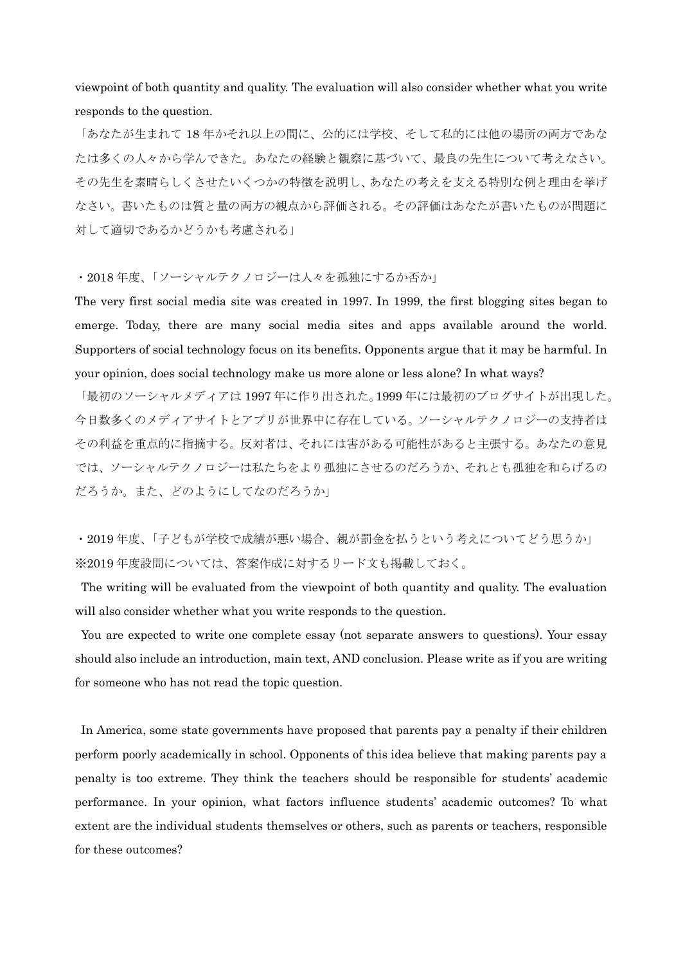viewpoint of both quantity and quality. The evaluation will also consider whether what you write responds to the question.

「あなたが生まれて 18 年かそれ以上の間に、公的には学校、そして私的には他の場所の両方であな たは多くの人々から学んできた。あなたの経験と観察に基づいて、最良の先生について考えなさい。 その先生を素晴らしくさせたいくつかの特徴を説明し、あなたの考えを支える特別な例と理由を挙げ なさい。書いたものは質と量の両方の観点から評価される。その評価はあなたが書いたものが問題に 対して適切であるかどうかも考慮される」

・2018 年度、「ソーシャルテクノロジーは人々を孤独にするか否か」

The very first social media site was created in 1997. In 1999, the first blogging sites began to emerge. Today, there are many social media sites and apps available around the world. Supporters of social technology focus on its benefits. Opponents argue that it may be harmful. In your opinion, does social technology make us more alone or less alone? In what ways?

「最初のソーシャルメディアは 1997 年に作り出された。1999 年には最初のブログサイトが出現した。 今日数多くのメディアサイトとアプリが世界中に存在している。ソーシャルテクノロジーの支持者は その利益を重点的に指摘する。反対者は、それには害がある可能性があると主張する。あなたの意見 では、ソーシャルテクノロジーは私たちをより孤独にさせるのだろうか、それとも孤独を和らげるの だろうか。また、どのようにしてなのだろうか」

・2019 年度、「子どもが学校で成績が悪い場合、親が罰金を払うという考えについてどう思うか」 ※2019 年度設問については、答案作成に対するリード文も掲載しておく。

The writing will be evaluated from the viewpoint of both quantity and quality. The evaluation will also consider whether what you write responds to the question.

You are expected to write one complete essay (not separate answers to questions). Your essay should also include an introduction, main text, AND conclusion. Please write as if you are writing for someone who has not read the topic question.

In America, some state governments have proposed that parents pay a penalty if their children perform poorly academically in school. Opponents of this idea believe that making parents pay a penalty is too extreme. They think the teachers should be responsible for students' academic performance. In your opinion, what factors influence students' academic outcomes? To what extent are the individual students themselves or others, such as parents or teachers, responsible for these outcomes?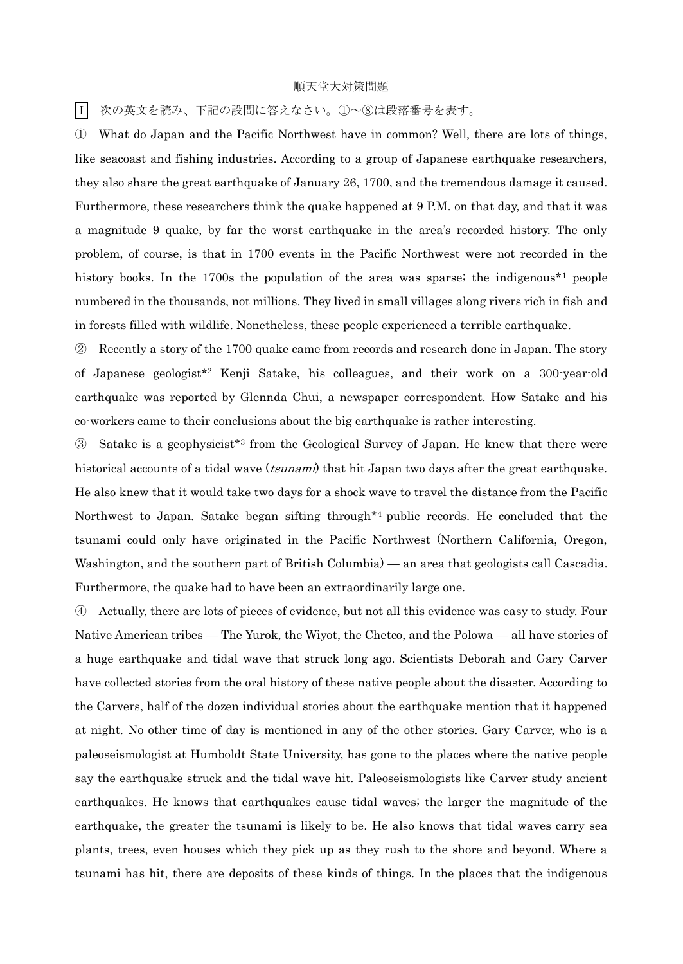#### 順天堂大対策問題

Ⅰ 次の英文を読み、下記の設問に答えなさい。①~⑧は段落番号を表す。

① What do Japan and the Pacific Northwest have in common? Well, there are lots of things, like seacoast and fishing industries. According to a group of Japanese earthquake researchers, they also share the great earthquake of January 26, 1700, and the tremendous damage it caused. Furthermore, these researchers think the quake happened at 9 P.M. on that day, and that it was a magnitude 9 quake, by far the worst earthquake in the area's recorded history. The only problem, of course, is that in 1700 events in the Pacific Northwest were not recorded in the history books. In the 1700s the population of the area was sparse; the indigenous<sup>\*1</sup> people numbered in the thousands, not millions. They lived in small villages along rivers rich in fish and in forests filled with wildlife. Nonetheless, these people experienced a terrible earthquake.

② Recently a story of the 1700 quake came from records and research done in Japan. The story of Japanese geologist\*<sup>2</sup> Kenji Satake, his colleagues, and their work on a 300-year-old earthquake was reported by Glennda Chui, a newspaper correspondent. How Satake and his co-workers came to their conclusions about the big earthquake is rather interesting.

③ Satake is a geophysicist\*<sup>3</sup> from the Geological Survey of Japan. He knew that there were historical accounts of a tidal wave (*tsunami*) that hit Japan two days after the great earthquake. He also knew that it would take two days for a shock wave to travel the distance from the Pacific Northwest to Japan. Satake began sifting through  $*4$  public records. He concluded that the tsunami could only have originated in the Pacific Northwest (Northern California, Oregon, Washington, and the southern part of British Columbia) — an area that geologists call Cascadia. Furthermore, the quake had to have been an extraordinarily large one.

④ Actually, there are lots of pieces of evidence, but not all this evidence was easy to study. Four Native American tribes — The Yurok, the Wiyot, the Chetco, and the Polowa — all have stories of a huge earthquake and tidal wave that struck long ago. Scientists Deborah and Gary Carver have collected stories from the oral history of these native people about the disaster. According to the Carvers, half of the dozen individual stories about the earthquake mention that it happened at night. No other time of day is mentioned in any of the other stories. Gary Carver, who is a paleoseismologist at Humboldt State University, has gone to the places where the native people say the earthquake struck and the tidal wave hit. Paleoseismologists like Carver study ancient earthquakes. He knows that earthquakes cause tidal waves; the larger the magnitude of the earthquake, the greater the tsunami is likely to be. He also knows that tidal waves carry sea plants, trees, even houses which they pick up as they rush to the shore and beyond. Where a tsunami has hit, there are deposits of these kinds of things. In the places that the indigenous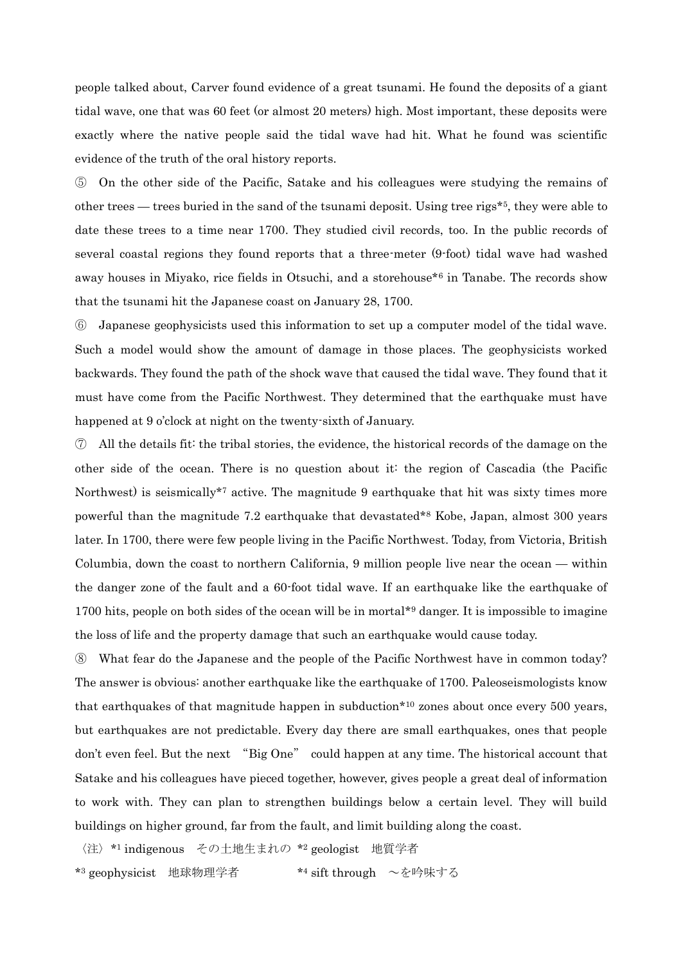people talked about, Carver found evidence of a great tsunami. He found the deposits of a giant tidal wave, one that was 60 feet (or almost 20 meters) high. Most important, these deposits were exactly where the native people said the tidal wave had hit. What he found was scientific evidence of the truth of the oral history reports.

⑤ On the other side of the Pacific, Satake and his colleagues were studying the remains of other trees — trees buried in the sand of the tsunami deposit. Using tree rigs\*<sup>5</sup> , they were able to date these trees to a time near 1700. They studied civil records, too. In the public records of several coastal regions they found reports that a three-meter (9-foot) tidal wave had washed away houses in Miyako, rice fields in Otsuchi, and a storehouse\*<sup>6</sup> in Tanabe. The records show that the tsunami hit the Japanese coast on January 28, 1700.

⑥ Japanese geophysicists used this information to set up a computer model of the tidal wave. Such a model would show the amount of damage in those places. The geophysicists worked backwards. They found the path of the shock wave that caused the tidal wave. They found that it must have come from the Pacific Northwest. They determined that the earthquake must have happened at 9 o'clock at night on the twenty-sixth of January.

⑦ All the details fit: the tribal stories, the evidence, the historical records of the damage on the other side of the ocean. There is no question about it: the region of Cascadia (the Pacific Northwest) is seismically\*<sup>7</sup> active. The magnitude 9 earthquake that hit was sixty times more powerful than the magnitude 7.2 earthquake that devastated\*<sup>8</sup> Kobe, Japan, almost 300 years later. In 1700, there were few people living in the Pacific Northwest. Today, from Victoria, British Columbia, down the coast to northern California, 9 million people live near the ocean — within the danger zone of the fault and a 60-foot tidal wave. If an earthquake like the earthquake of 1700 hits, people on both sides of the ocean will be in mortal\*<sup>9</sup> danger. It is impossible to imagine the loss of life and the property damage that such an earthquake would cause today.

⑧ What fear do the Japanese and the people of the Pacific Northwest have in common today? The answer is obvious: another earthquake like the earthquake of 1700. Paleoseismologists know that earthquakes of that magnitude happen in subduction<sup>\*10</sup> zones about once every 500 years, but earthquakes are not predictable. Every day there are small earthquakes, ones that people don't even feel. But the next "Big One" could happen at any time. The historical account that Satake and his colleagues have pieced together, however, gives people a great deal of information to work with. They can plan to strengthen buildings below a certain level. They will build buildings on higher ground, far from the fault, and limit building along the coast.

〈注〉\* 1 indigenous その土地生まれの \* <sup>2</sup> geologist 地質学者

\* <sup>3</sup> geophysicist 地球物理学者 \* \*4 sift through  $~\sim$ を吟味する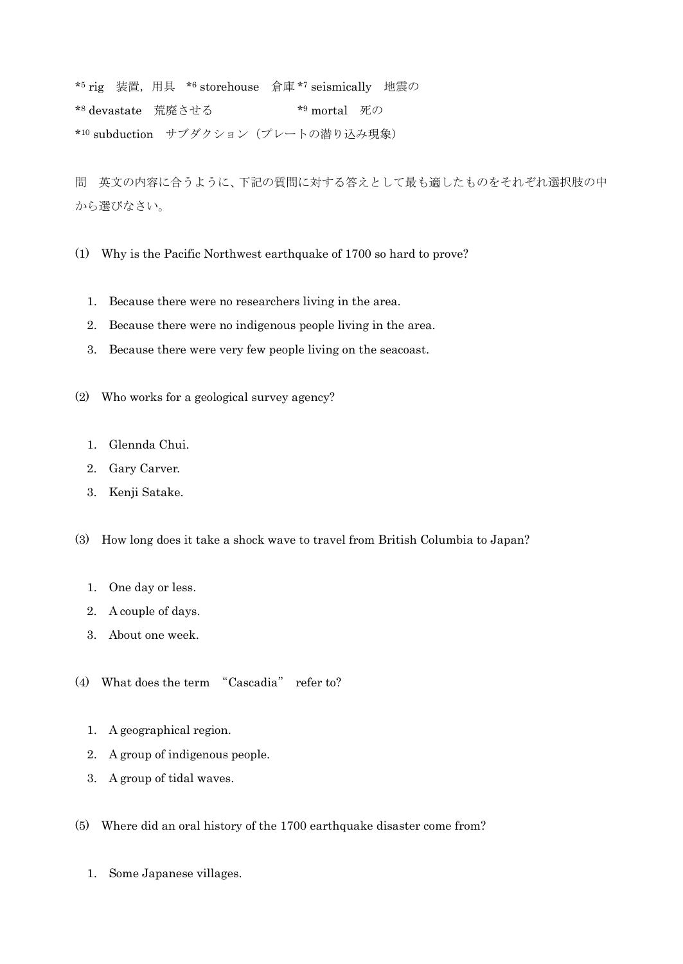\*5 rig 装置,用具 \*6 storehouse 倉庫 \*7 seismically 地震の \* <sup>8</sup> devastate 荒廃させる \* \*9 mortal 死の \* <sup>10</sup> subduction サブダクション(プレートの潜り込み現象)

問 英文の内容に合うように、下記の質問に対する答えとして最も適したものをそれぞれ選択肢の中 から選びなさい。

- (1) Why is the Pacific Northwest earthquake of 1700 so hard to prove?
	- 1. Because there were no researchers living in the area.
	- 2. Because there were no indigenous people living in the area.
	- 3. Because there were very few people living on the seacoast.
- (2) Who works for a geological survey agency?
	- 1. Glennda Chui.
	- 2. Gary Carver.
	- 3. Kenji Satake.
- (3) How long does it take a shock wave to travel from British Columbia to Japan?
	- 1. One day or less.
	- 2. A couple of days.
	- 3. About one week.
- (4) What does the term "Cascadia" refer to?
	- 1. A geographical region.
	- 2. A group of indigenous people.
	- 3. A group of tidal waves.
- (5) Where did an oral history of the 1700 earthquake disaster come from?
	- 1. Some Japanese villages.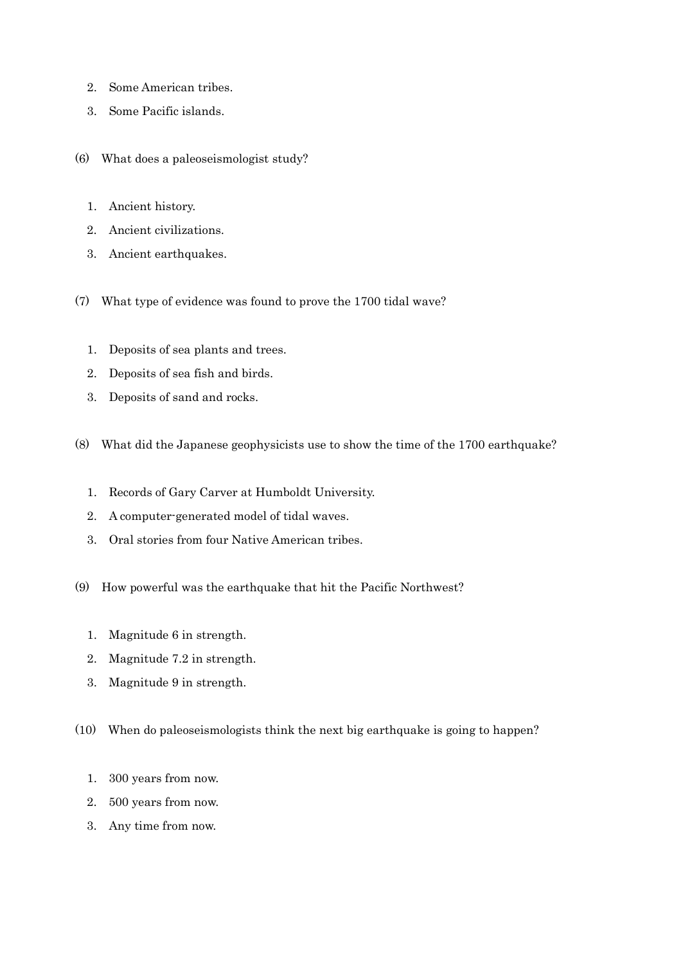- 2. Some American tribes.
- 3. Some Pacific islands.
- (6) What does a paleoseismologist study?
	- 1. Ancient history.
	- 2. Ancient civilizations.
	- 3. Ancient earthquakes.
- (7) What type of evidence was found to prove the 1700 tidal wave?
	- 1. Deposits of sea plants and trees.
	- 2. Deposits of sea fish and birds.
	- 3. Deposits of sand and rocks.
- (8) What did the Japanese geophysicists use to show the time of the 1700 earthquake?
	- 1. Records of Gary Carver at Humboldt University.
	- 2. A computer-generated model of tidal waves.
	- 3. Oral stories from four Native American tribes.
- (9) How powerful was the earthquake that hit the Pacific Northwest?
	- 1. Magnitude 6 in strength.
	- 2. Magnitude 7.2 in strength.
	- 3. Magnitude 9 in strength.
- (10) When do paleoseismologists think the next big earthquake is going to happen?
	- 1. 300 years from now.
	- 2. 500 years from now.
	- 3. Any time from now.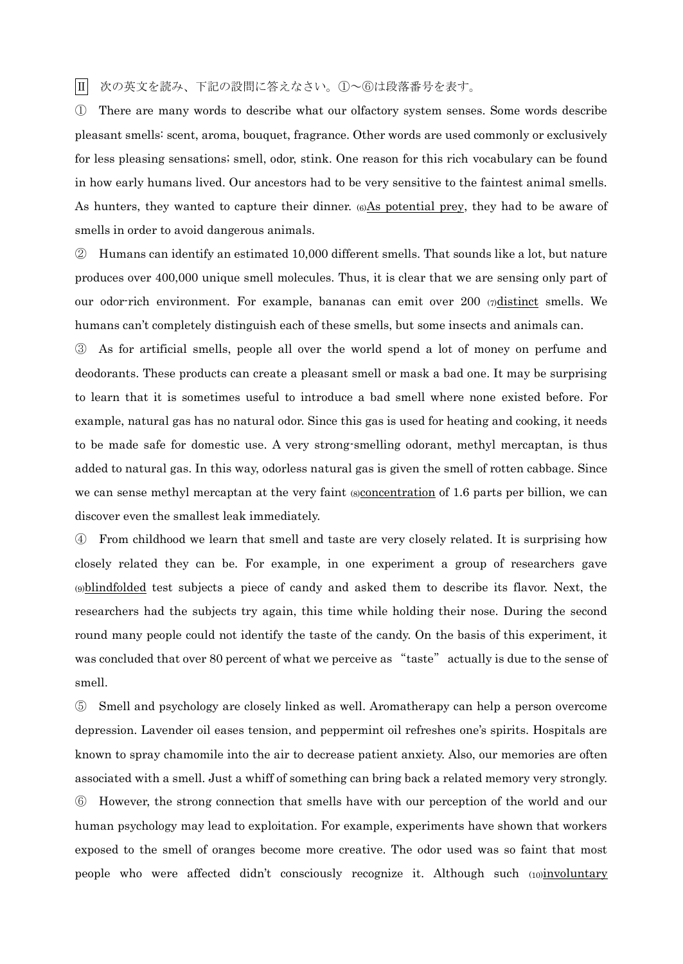Ⅱ 次の英文を読み、下記の設問に答えなさい。①~⑥は段落番号を表す。

① There are many words to describe what our olfactory system senses. Some words describe pleasant smells: scent, aroma, bouquet, fragrance. Other words are used commonly or exclusively for less pleasing sensations; smell, odor, stink. One reason for this rich vocabulary can be found in how early humans lived. Our ancestors had to be very sensitive to the faintest animal smells. As hunters, they wanted to capture their dinner.  $\omega$ As potential prey, they had to be aware of smells in order to avoid dangerous animals.

② Humans can identify an estimated 10,000 different smells. That sounds like a lot, but nature produces over 400,000 unique smell molecules. Thus, it is clear that we are sensing only part of our odor-rich environment. For example, bananas can emit over 200 (7)distinct smells. We humans can't completely distinguish each of these smells, but some insects and animals can.

③ As for artificial smells, people all over the world spend a lot of money on perfume and deodorants. These products can create a pleasant smell or mask a bad one. It may be surprising to learn that it is sometimes useful to introduce a bad smell where none existed before. For example, natural gas has no natural odor. Since this gas is used for heating and cooking, it needs to be made safe for domestic use. A very strong-smelling odorant, methyl mercaptan, is thus added to natural gas. In this way, odorless natural gas is given the smell of rotten cabbage. Since we can sense methyl mercaptan at the very faint (s)concentration of 1.6 parts per billion, we can discover even the smallest leak immediately.

④ From childhood we learn that smell and taste are very closely related. It is surprising how closely related they can be. For example, in one experiment a group of researchers gave (9)blindfolded test subjects a piece of candy and asked them to describe its flavor. Next, the researchers had the subjects try again, this time while holding their nose. During the second round many people could not identify the taste of the candy. On the basis of this experiment, it was concluded that over 80 percent of what we perceive as "taste" actually is due to the sense of smell.

⑤ Smell and psychology are closely linked as well. Aromatherapy can help a person overcome depression. Lavender oil eases tension, and peppermint oil refreshes one's spirits. Hospitals are known to spray chamomile into the air to decrease patient anxiety. Also, our memories are often associated with a smell. Just a whiff of something can bring back a related memory very strongly. ⑥ However, the strong connection that smells have with our perception of the world and our human psychology may lead to exploitation. For example, experiments have shown that workers exposed to the smell of oranges become more creative. The odor used was so faint that most people who were affected didn't consciously recognize it. Although such (10)involuntary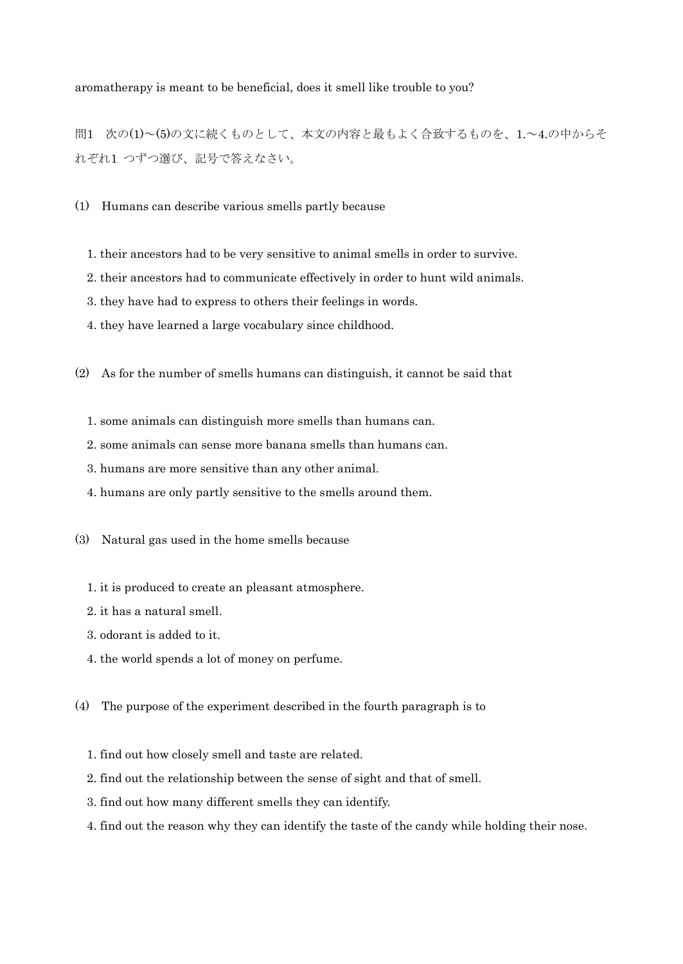aromatherapy is meant to be beneficial, does it smell like trouble to you?

問1 次の(1)~(5)の文に続くものとして、本文の内容と最もよく合致するものを、1.~4.の中からそ れぞれ1 つずつ選び、記号で答えなさい。

(1) Humans can describe various smells partly because

- 1. their ancestors had to be very sensitive to animal smells in order to survive.
- 2. their ancestors had to communicate effectively in order to hunt wild animals.
- 3. they have had to express to others their feelings in words.
- 4. they have learned a large vocabulary since childhood.

(2) As for the number of smells humans can distinguish, it cannot be said that

1. some animals can distinguish more smells than humans can.

- 2. some animals can sense more banana smells than humans can.
- 3. humans are more sensitive than any other animal.
- 4. humans are only partly sensitive to the smells around them.

(3) Natural gas used in the home smells because

- 1. it is produced to create an pleasant atmosphere.
- 2. it has a natural smell.
- 3. odorant is added to it.
- 4. the world spends a lot of money on perfume.

(4) The purpose of the experiment described in the fourth paragraph is to

- 1. find out how closely smell and taste are related.
- 2. find out the relationship between the sense of sight and that of smell.
- 3. find out how many different smells they can identify.
- 4. find out the reason why they can identify the taste of the candy while holding their nose.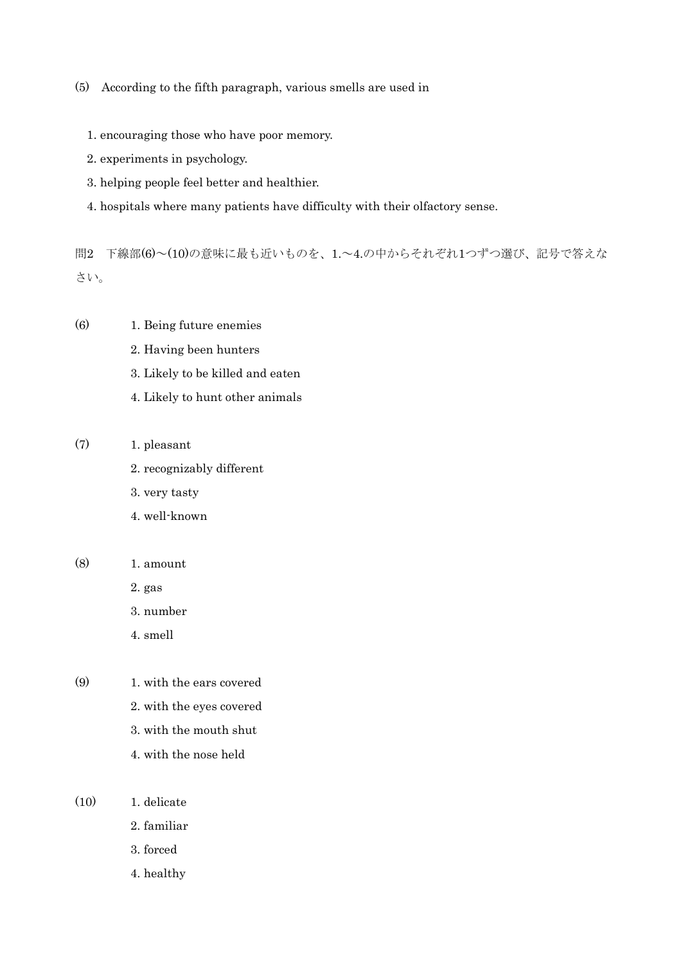(5) According to the fifth paragraph, various smells are used in

- 1. encouraging those who have poor memory.
- 2. experiments in psychology.
- 3. helping people feel better and healthier.
- 4. hospitals where many patients have difficulty with their olfactory sense.

問2 下線部(6)~(10)の意味に最も近いものを、1.~4.の中からそれぞれ1つずつ選び、記号で答えな さい。

- (6) 1. Being future enemies
	- 2. Having been hunters
	- 3. Likely to be killed and eaten
	- 4. Likely to hunt other animals
- $(7)$  1. pleasant
	- 2. recognizably different
	- 3. very tasty
	- 4. well-known
- (8) 1. amount
	- 2. gas
	- 3. number
	- 4. smell
- (9) 1. with the ears covered
	- 2. with the eyes covered
	- 3. with the mouth shut
	- 4. with the nose held
- (10) 1. delicate
	- 2. familiar
	- 3. forced
	- 4. healthy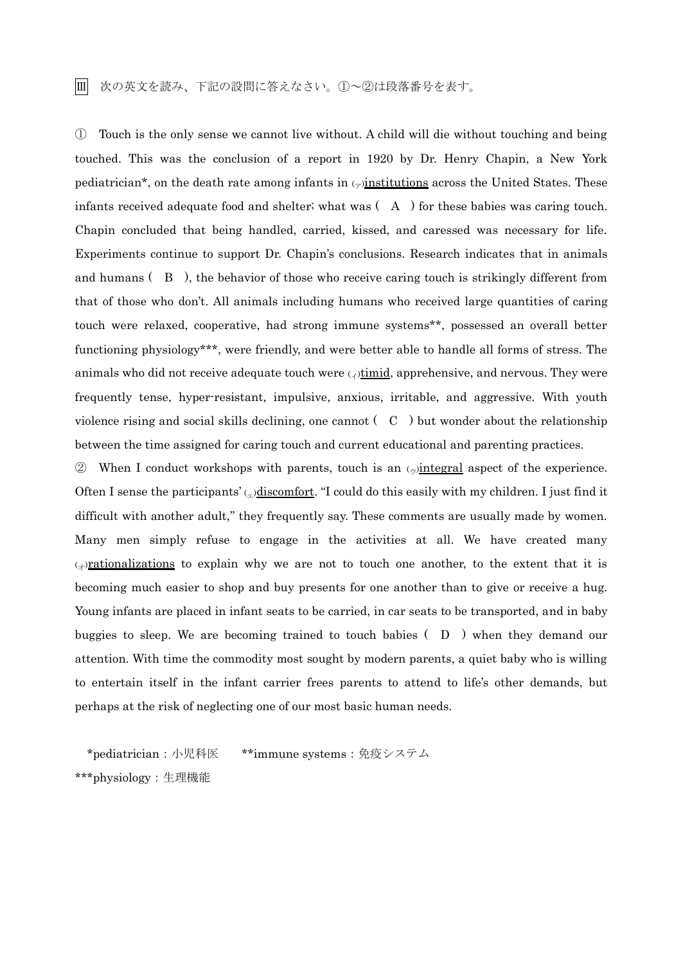Ⅲ 次の英文を読み、下記の設問に答えなさい。①~②は段落番号を表す。

① Touch is the only sense we cannot live without. A child will die without touching and being touched. This was the conclusion of a report in 1920 by Dr. Henry Chapin, a New York pediatrician<sup>\*</sup>, on the death rate among infants in  $(\tau)$  institutions across the United States. These infants received adequate food and shelter; what was  $(A)$  for these babies was caring touch. Chapin concluded that being handled, carried, kissed, and caressed was necessary for life. Experiments continue to support Dr. Chapin's conclusions. Research indicates that in animals and humans  $(B<sub>1</sub>)$ , the behavior of those who receive caring touch is strikingly different from that of those who don't. All animals including humans who received large quantities of caring touch were relaxed, cooperative, had strong immune systems\*\*, possessed an overall better functioning physiology\*\*\*, were friendly, and were better able to handle all forms of stress. The animals who did not receive adequate touch were  $\omega$ timid, apprehensive, and nervous. They were frequently tense, hyper-resistant, impulsive, anxious, irritable, and aggressive. With youth violence rising and social skills declining, one cannot  $\left( \begin{array}{c} C \end{array} \right)$  but wonder about the relationship between the time assigned for caring touch and current educational and parenting practices.

 $\circled{2}$  When I conduct workshops with parents, touch is an  $\circled{p}$  integral aspect of the experience. Often I sense the participants'  $\omega$  discomfort. "I could do this easily with my children. I just find it difficult with another adult," they frequently say. These comments are usually made by women. Many men simply refuse to engage in the activities at all. We have created many  $\alpha$  rationalizations to explain why we are not to touch one another, to the extent that it is becoming much easier to shop and buy presents for one another than to give or receive a hug. Young infants are placed in infant seats to be carried, in car seats to be transported, and in baby buggies to sleep. We are becoming trained to touch babies ( D ) when they demand our attention. With time the commodity most sought by modern parents, a quiet baby who is willing to entertain itself in the infant carrier frees parents to attend to life's other demands, but perhaps at the risk of neglecting one of our most basic human needs.

 \*pediatrician:小児科医 \*\*immune systems:免疫システム \*\*\*physiology:生理機能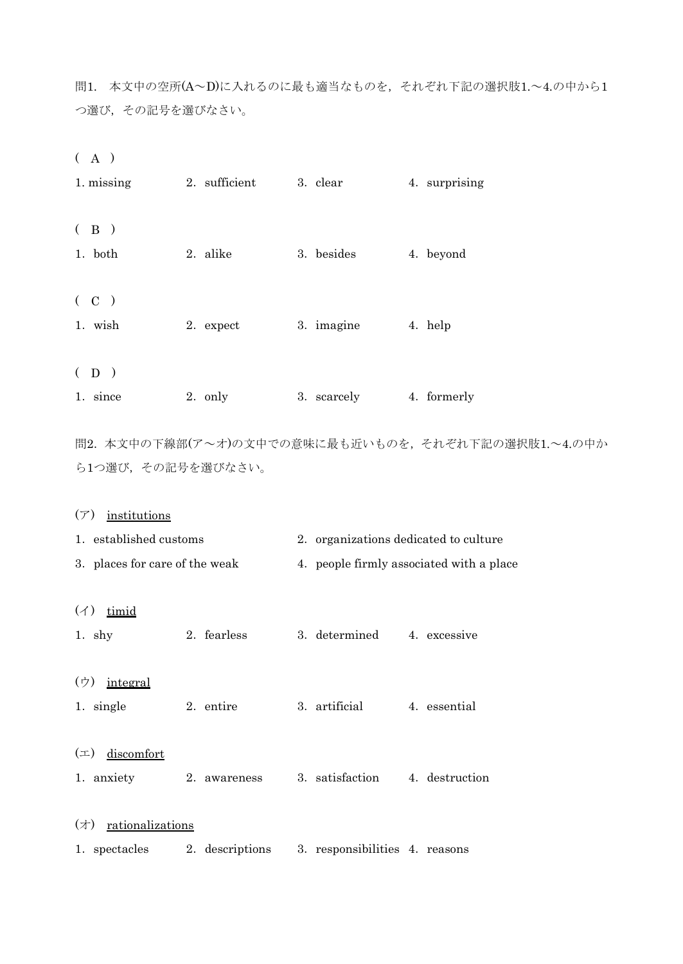問1. 本文中の空所(A~D)に入れるのに最も適当なものを,それぞれ下記の選択肢1.~4.の中から1 つ選び,その記号を選びなさい。

( A )

| 1. missing       | 2. sufficient | 3. clear    | 4. surprising |
|------------------|---------------|-------------|---------------|
| (B)<br>1. both   | 2. alike      | 3. besides  | 4. beyond     |
| ( C )<br>1. wish | 2. expect     | 3. imagine  | 4. help       |
| (D)<br>1. since  | 2. only       | 3. scarcely | 4. formerly   |

問2.本文中の下線部(ア~オ)の文中での意味に最も近いものを,それぞれ下記の選択肢1.~4.の中か ら1つ選び,その記号を選びなさい。

| $(\mathcal{F})$ institutions                  |                               |                                             |  |  |  |  |
|-----------------------------------------------|-------------------------------|---------------------------------------------|--|--|--|--|
| 1. established customs                        |                               | 2. organizations dedicated to culture       |  |  |  |  |
| 3. places for care of the weak                |                               | 4. people firmly associated with a place    |  |  |  |  |
| $(\angle)$ timid                              | 2. fearless                   | 3. determined 4. excessive                  |  |  |  |  |
| $1.$ shy                                      |                               |                                             |  |  |  |  |
| $(\dot{\triangledown})$ integral<br>1. single | 2. entire                     | 3. artificial<br>4. essential               |  |  |  |  |
| $(\pm)$ discomfort<br>1. anxiety              |                               | 2. awareness 3. satisfaction 4. destruction |  |  |  |  |
| $(\pi)$ <u>rationalizations</u>               | 1. spectacles 2. descriptions | 3. responsibilities 4. reasons              |  |  |  |  |
|                                               |                               |                                             |  |  |  |  |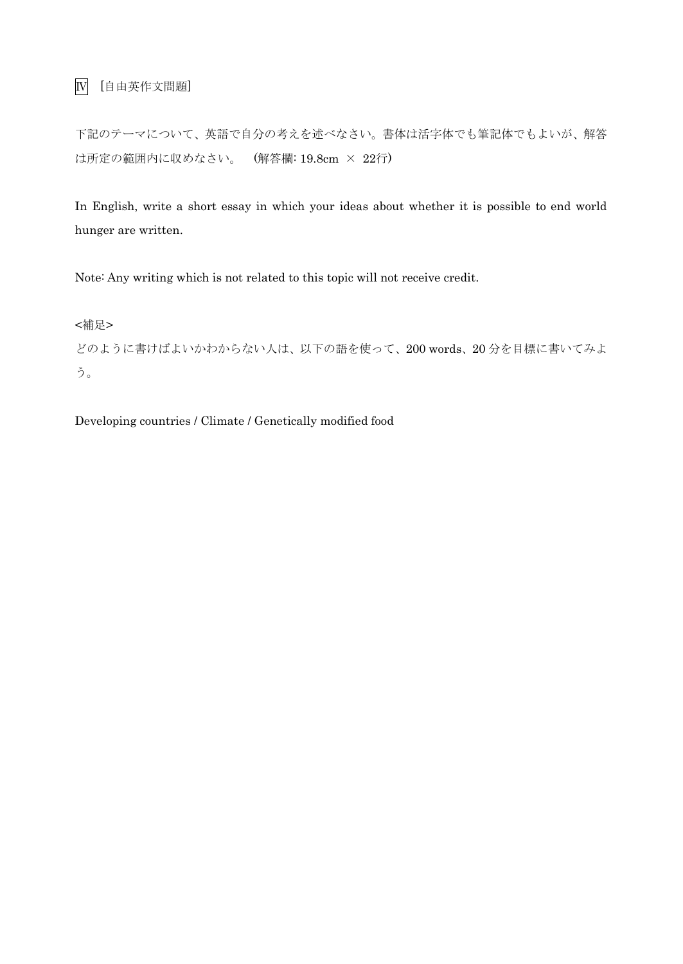# Ⅳ [自由英作文問題]

下記のテーマについて、英語で自分の考えを述べなさい。書体は活字体でも筆記体でもよいが、解答 は所定の範囲内に収めなさい。 (解答欄: 19.8cm × 22行)

In English, write a short essay in which your ideas about whether it is possible to end world hunger are written.

Note: Any writing which is not related to this topic will not receive credit.

<補足>

どのように書けばよいかわからない人は、以下の語を使って、200 words、20 分を目標に書いてみよ う。

Developing countries / Climate / Genetically modified food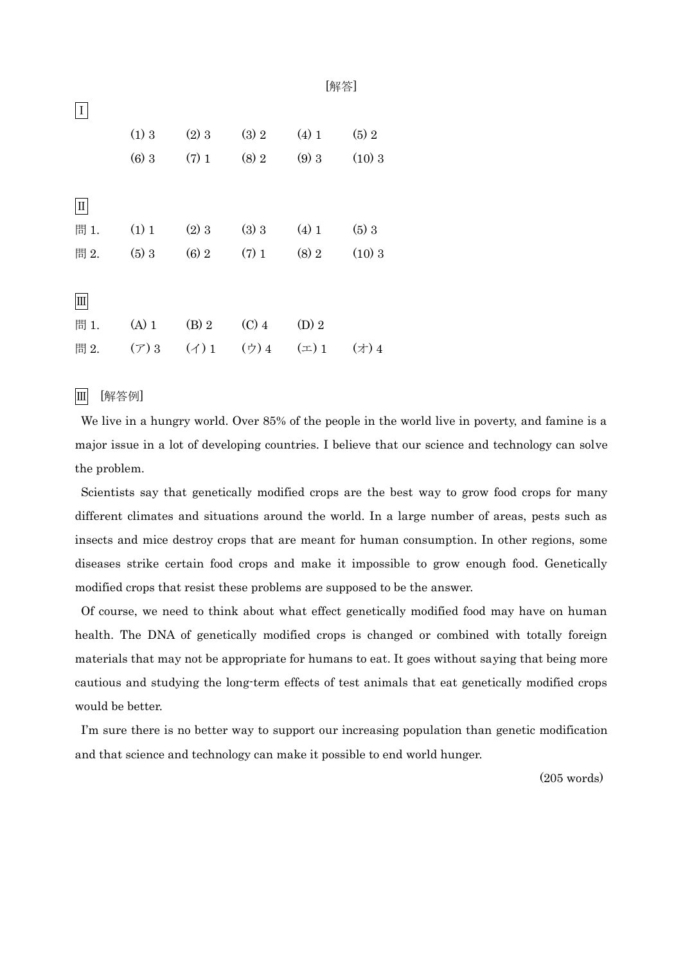|                |                   |              |          |           | レコナロコ          |  |  |
|----------------|-------------------|--------------|----------|-----------|----------------|--|--|
| I              |                   |              |          |           |                |  |  |
|                | $(1)$ 3           | $(2)$ 3      | $(3)$ 2  | $(4)$ 1   | $(5)$ 2        |  |  |
|                | (6)3              | $(7)$ 1      | $(8)$ 2  | $(9)$ 3   | $(10)$ 3       |  |  |
|                |                   |              |          |           |                |  |  |
| $ \mathbb{I} $ |                   |              |          |           |                |  |  |
| 問1.            | $(1)$ 1           | $(2)$ 3      | $(3)$ 3  | $(4)$ 1   | $(5)$ 3        |  |  |
| 問2.            | $(5)$ 3           | $(6)$ 2      | (7)1     | $(8)$ 2   | (10)3          |  |  |
|                |                   |              |          |           |                |  |  |
| Ш              |                   |              |          |           |                |  |  |
| 問1.            | $(A)$ 1           | $(B)$ 2      | $(C)$ 4  | $(D)$ 2   |                |  |  |
| 問2.            | $(\mathcal{F})$ 3 | $(\n\chi)$ 1 | $($ ウ) 4 | $(\pm)$ 1 | $(\nexists)$ 4 |  |  |

## Ⅲ [解答例]

We live in a hungry world. Over 85% of the people in the world live in poverty, and famine is a major issue in a lot of developing countries. I believe that our science and technology can solve the problem.

[解公]

Scientists say that genetically modified crops are the best way to grow food crops for many different climates and situations around the world. In a large number of areas, pests such as insects and mice destroy crops that are meant for human consumption. In other regions, some diseases strike certain food crops and make it impossible to grow enough food. Genetically modified crops that resist these problems are supposed to be the answer.

Of course, we need to think about what effect genetically modified food may have on human health. The DNA of genetically modified crops is changed or combined with totally foreign materials that may not be appropriate for humans to eat. It goes without saying that being more cautious and studying the long-term effects of test animals that eat genetically modified crops would be better.

I'm sure there is no better way to support our increasing population than genetic modification and that science and technology can make it possible to end world hunger.

(205 words)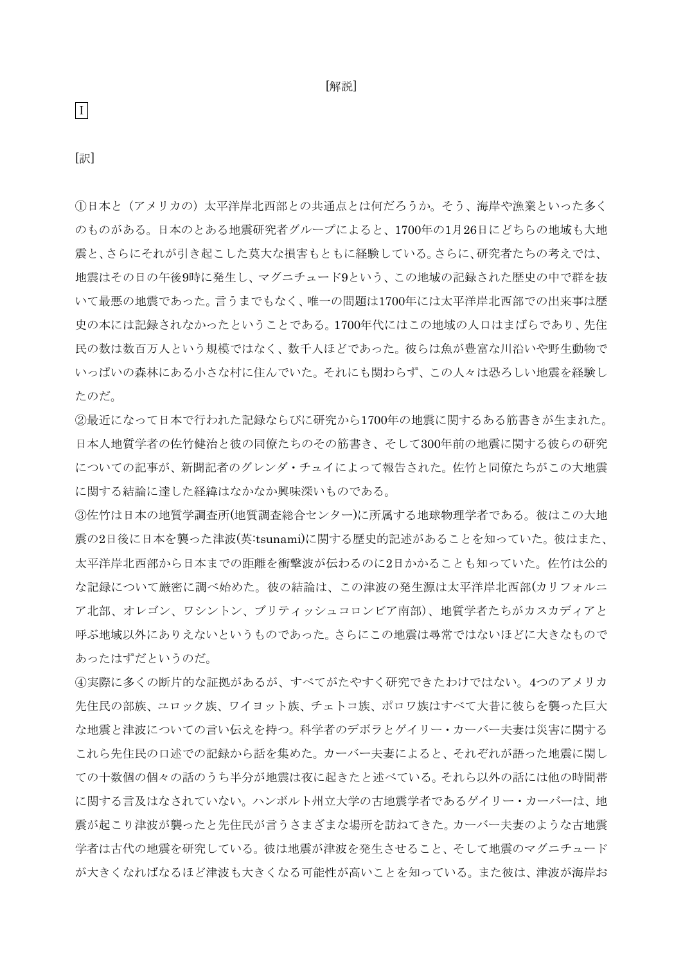[訳]

①日本と(アメリカの)太平洋岸北西部との共通点とは何だろうか。そう、海岸や漁業といった多く のものがある。日本のとある地震研究者グループによると、1700年の1月26日にどちらの地域も大地 震と、さらにそれが引き起こした莫大な損害もともに経験している。さらに、研究者たちの考えでは、 地震はその日の午後9時に発生し、マグニチュード9という、この地域の記録された歴史の中で群を抜 いて最悪の地震であった。言うまでもなく、唯一の問題は1700年には太平洋岸北西部での出来事は歴 史の本には記録されなかったということである。1700年代にはこの地域の人口はまばらであり、先住 民の数は数百万人という規模ではなく、数千人ほどであった。彼らは魚が豊富な川沿いや野生動物で いっぱいの森林にある小さな村に住んでいた。それにも関わらず、この人々は恐ろしい地震を経験し たのだ。

②最近になって日本で行われた記録ならびに研究から1700年の地震に関するある筋書きが生まれた。 日本人地質学者の佐竹健治と彼の同僚たちのその筋書き、そして300年前の地震に関する彼らの研究 についての記事が、新聞記者のグレンダ・チュイによって報告された。佐竹と同僚たちがこの大地震 に関する結論に達した経緯はなかなか興味深いものである。

③佐竹は日本の地質学調査所(地質調査総合センター)に所属する地球物理学者である。彼はこの大地 震の2日後に日本を襲った津波(英:tsunami)に関する歴史的記述があることを知っていた。彼はまた、 太平洋岸北西部から日本までの距離を衝撃波が伝わるのに2日かかることも知っていた。佐竹は公的 な記録について厳密に調べ始めた。彼の結論は、この津波の発生源は太平洋岸北西部(カリフォルニ ア北部、オレゴン、ワシントン、ブリティッシュコロンビア南部)、地質学者たちがカスカディアと 呼ぶ地域以外にありえないというものであった。さらにこの地震は尋常ではないほどに大きなもので あったはずだというのだ。

④実際に多くの断片的な証拠があるが、すべてがたやすく研究できたわけではない。4つのアメリカ 先住民の部族、ユロック族、ワイヨット族、チェトコ族、ポロワ族はすべて大昔に彼らを襲った巨大 な地震と津波についての言い伝えを持つ。科学者のデボラとゲイリー・カーバー夫妻は災害に関する これら先住民の口述での記録から話を集めた。カーバー夫妻によると、それぞれが語った地震に関し ての十数個の個々の話のうち半分が地震は夜に起きたと述べている。それら以外の話には他の時間帯 に関する言及はなされていない。ハンボルト州立大学の古地震学者であるゲイリー・カーバーは、地 震が起こり津波が襲ったと先住民が言うさまざまな場所を訪ねてきた。カーバー夫妻のような古地震 学者は古代の地震を研究している。彼は地震が津波を発生させること、そして地震のマグニチュード が大きくなればなるほど津波も大きくなる可能性が高いことを知っている。また彼は、津波が海岸お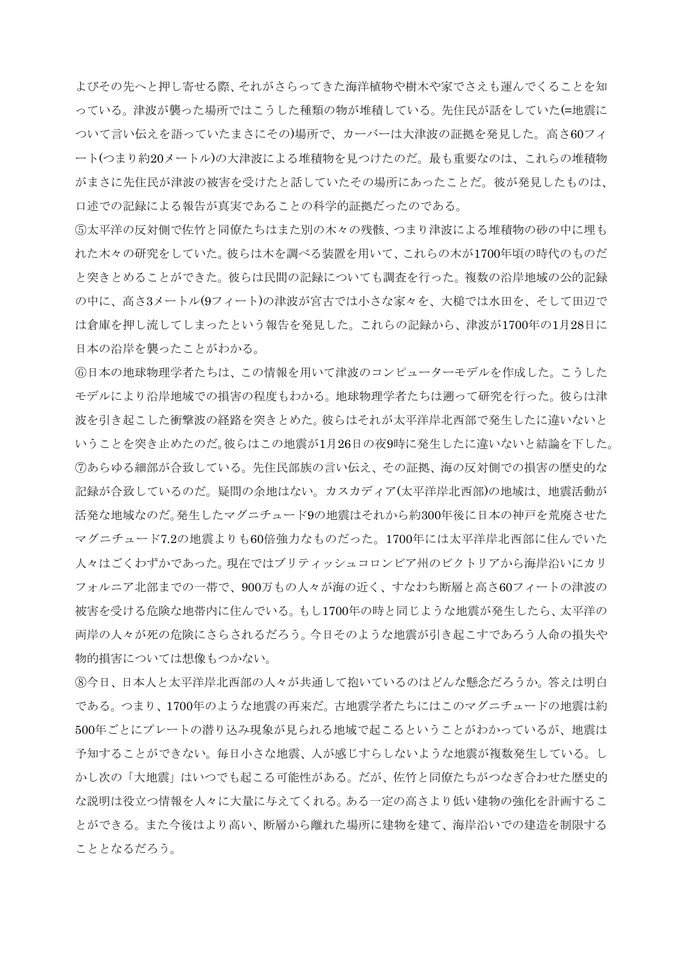よびその先へと押し寄せる際、それがさらってきた海洋植物や樹木や家でさえも運んでくることを知 っている。津波が襲った場所ではこうした種類の物が堆積している。先住民が話をしていた(=地震に ついて言い伝えを語っていたまさにその)場所で、カーバーは大津波の証拠を発見した。高さ60フィ ート(つまり約20メートル)の大津波による堆積物を見つけたのだ。最も重要なのは、これらの堆積物 がまさに先住民が津波の被害を受けたと話していたその場所にあったことだ。彼が発見したものは、 口述での記録による報告が真実であることの科学的証拠だったのである。

⑤太平洋の反対側で佐竹と同僚たちはまた別の木々の残骸、つまり津波による堆積物の砂の中に埋も れた木々の研究をしていた。彼らは木を調べる装置を用いて、これらの木が1700年頃の時代のものだ と突きとめることができた。彼らは民間の記録についても調査を行った。複数の沿岸地域の公的記録 の中に、高さ3メートル(9フィート)の津波が宮古では小さな家々を、大槌では水田を、そして田辺で は倉庫を押し流してしまったという報告を発見した。これらの記録から、津波が1700年の1月28日に 日本の沿岸を襲ったことがわかる。

⑥日本の地球物理学者たちは、この情報を用いて津波のコンピューターモデルを作成した。こうした モデルにより沿岸地域での損害の程度もわかる。地球物理学者たちは遡って研究を行った。彼らは津 波を引き起こした衝撃波の経路を突きとめた。彼らはそれが太平洋岸北西部で発生したに違いないと いうことを突き止めたのだ。彼らはこの地震が1月26日の夜9時に発生したに違いないと結論を下した。 ⑦あらゆる細部が合致している。先住民部族の言い伝え、その証拠、海の反対側での損害の歴史的な 記録が合致しているのだ。疑問の余地はない。カスカディア(太平洋岸北西部)の地域は、地震活動が 活発な地域なのだ。発生したマグニチュード9の地震はそれから約300年後に日本の神戸を荒廃させた マグニチュード7.2の地震よりも60倍強力なものだった。1700年には太平洋岸北西部に住んでいた 人々はごくわずかであった。現在ではブリティッシュコロンビア州のビクトリアから海岸沿いにカリ フォルニア北部までの一帯で、900万もの人々が海の近く、すなわち断層と高さ60フィートの津波の 被害を受ける危険な地帯内に住んでいる。もし1700年の時と同じような地震が発生したら、太平洋の 両岸の人々が死の危険にさらされるだろう。今日そのような地震が引き起こすであろう人命の損失や 物的損害については想像もつかない。

⑧今日、日本人と太平洋岸北西部の人々が共通して抱いているのはどんな懸念だろうか。答えは明白 である。つまり、1700年のような地震の再来だ。古地震学者たちにはこのマグニチュードの地震は約 500年ごとにプレートの潜り込み現象が見られる地域で起こるということがわかっているが、地震は 予知することができない。毎日小さな地震、人が感じすらしないような地震が複数発生している。し かし次の「大地震」はいつでも起こる可能性がある。だが、佐竹と同僚たちがつなぎ合わせた歴史的 な説明は役立つ情報を人々に大量に与えてくれる。ある一定の高さより低い建物の強化を計画するこ とができる。また今後はより高い、断層から離れた場所に建物を建て、海岸沿いでの建造を制限する こととなるだろう。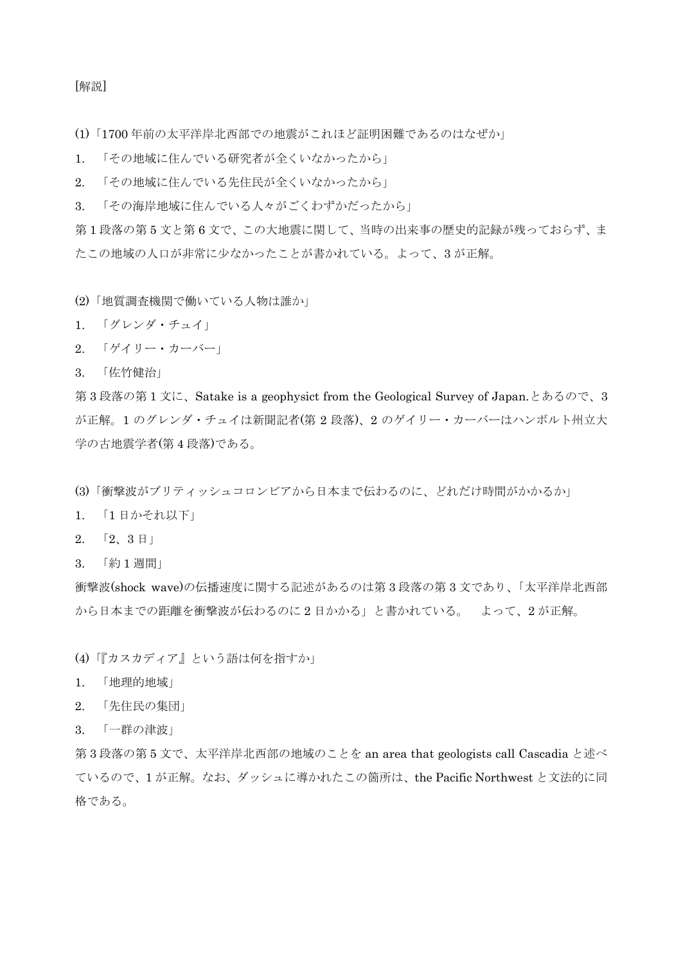[解説]

(1)「1700 年前の太平洋岸北西部での地震がこれほど証明困難であるのはなぜか」

1. 「その地域に住んでいる研究者が全くいなかったから」

2. 「その地域に住んでいる先住民が全くいなかったから」

3. 「その海岸地域に住んでいる人々がごくわずかだったから」

第 1 段落の第 5 文と第 6 文で、この大地震に関して、当時の出来事の歴史的記録が残っておらず、ま たこの地域の人口が非常に少なかったことが書かれている。よって、3 が正解。

(2)「地質調査機関で働いている人物は誰か」

- 1. 「グレンダ・チュイ」
- 2. 「ゲイリー・カーバー」
- 3. 「佐竹健治」

第 3 段落の第 1 文に、Satake is a geophysict from the Geological Survey of Japan.とあるので、3 が正解。1 のグレンダ・チュイは新聞記者(第 2 段落)、2 のゲイリー・カーバーはハンボルト州立大 学の古地震学者(第 4 段落)である。

- (3)「衝撃波がブリティッシュコロンビアから日本まで伝わるのに、どれだけ時間がかかるか」
- 1. 「1 日かそれ以下」
- 2. 「2、3 日」
- 3. 「約 1 週間」

衝撃波(shock wave)の伝播速度に関する記述があるのは第 3 段落の第 3 文であり、「太平洋岸北西部 から日本までの距離を衝撃波が伝わるのに 2 日かかる」と書かれている。 よって、2 が正解。

(4)「『カスカディア』という語は何を指すか」

- 1. 「地理的地域」
- 2. 「先住民の集団」
- 3. 「一群の津波」

第 3 段落の第 5 文で、太平洋岸北西部の地域のことを an area that geologists call Cascadia と述べ ているので、1 が正解。なお、ダッシュに導かれたこの箇所は、the Pacific Northwest と文法的に同 格である。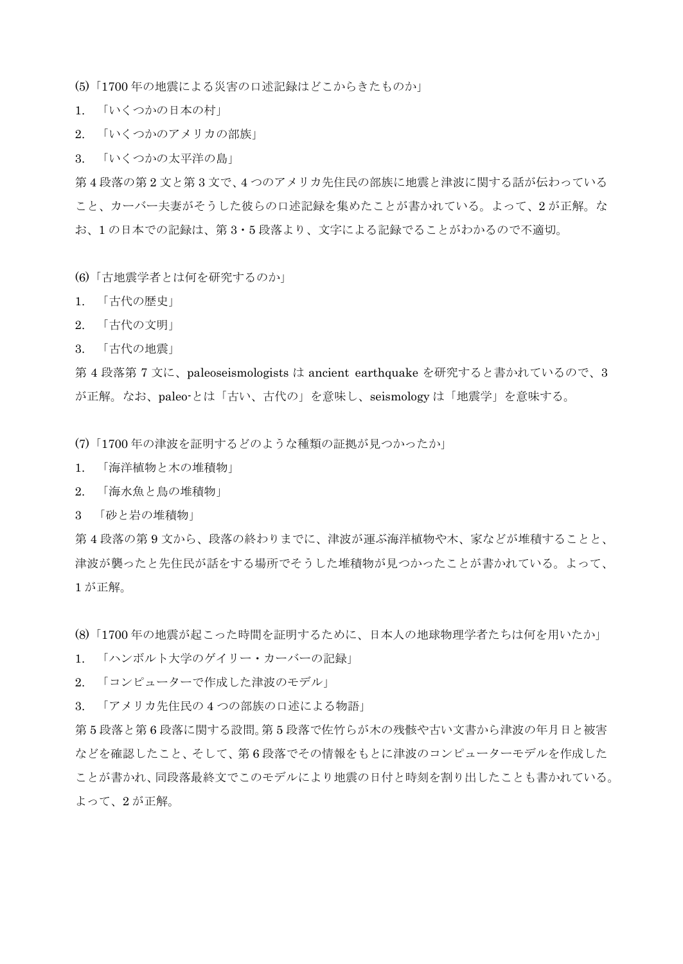(5)「1700 年の地震による災害の口述記録はどこからきたものか」

- 1. 「いくつかの日本の村」
- 2. 「いくつかのアメリカの部族」
- 3. 「いくつかの太平洋の島」

第 4 段落の第 2 文と第 3 文で、4 つのアメリカ先住民の部族に地震と津波に関する話が伝わっている こと、カーバー夫妻がそうした彼らの口述記録を集めたことが書かれている。よって、2 が正解。な お、1 の日本での記録は、第 3・5 段落より、文字による記録でることがわかるので不適切。

(6)「古地震学者とは何を研究するのか」

- 1. 「古代の歴史」
- 2. 「古代の文明」
- 3. 「古代の地震」

第 4 段落第 7 文に、paleoseismologists は ancient earthquake を研究すると書かれているので、3 が正解。なお、paleo-とは「古い、古代の」を意味し、seismology は「地震学」を意味する。

(7)「1700 年の津波を証明するどのような種類の証拠が見つかったか」

- 1. 「海洋植物と木の堆積物」
- 2. 「海水魚と鳥の堆積物」

3 「砂と岩の堆積物」

第 4 段落の第 9 文から、段落の終わりまでに、津波が運ぶ海洋植物や木、家などが堆積することと、 津波が襲ったと先住民が話をする場所でそうした堆積物が見つかったことが書かれている。よって、 1 が正解。

(8)「1700 年の地震が起こった時間を証明するために、日本人の地球物理学者たちは何を用いたか」

- 1. 「ハンボルト大学のゲイリー・カーバーの記録」
- 2. 「コンピューターで作成した津波のモデル」
- 3. 「アメリカ先住民の 4 つの部族の口述による物語」

第 5 段落と第 6 段落に関する設問。第 5 段落で佐竹らが木の残骸や古い文書から津波の年月日と被害 などを確認したこと、そして、第 6 段落でその情報をもとに津波のコンピューターモデルを作成した ことが書かれ、同段落最終文でこのモデルにより地震の日付と時刻を割り出したことも書かれている。 よって、2 が正解。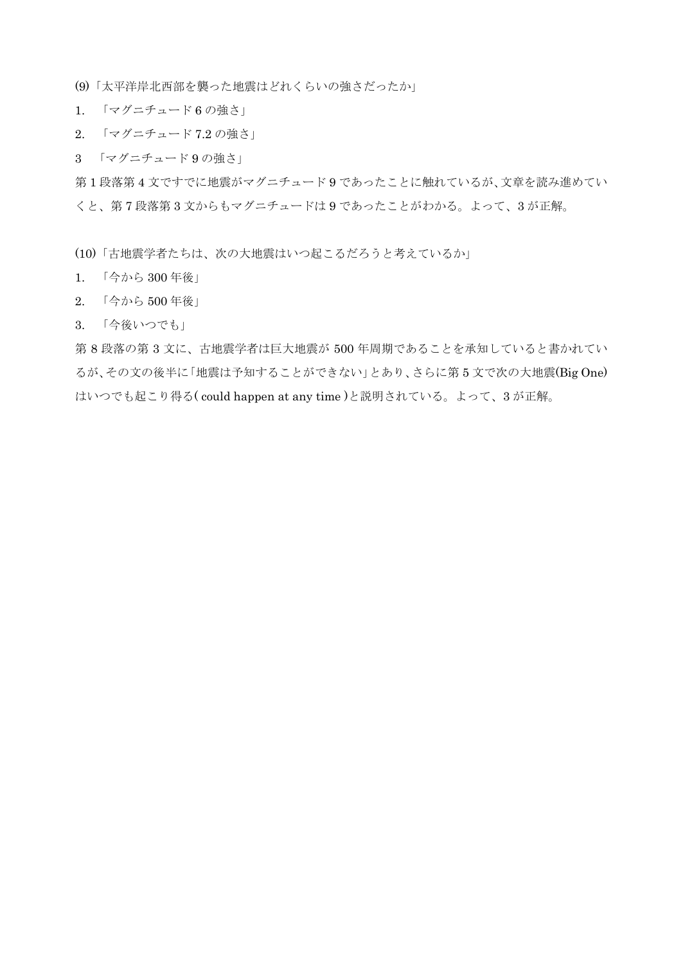(9)「太平洋岸北西部を襲った地震はどれくらいの強さだったか」

- 1. 「マグニチュード 6 の強さ」
- 2. 「マグニチュード 7.2 の強さ」
- 3 「マグニチュード 9 の強さ」

第 1 段落第 4 文ですでに地震がマグニチュード 9 であったことに触れているが、文章を読み進めてい くと、第 7 段落第 3 文からもマグニチュードは 9 であったことがわかる。よって、3 が正解。

- (10)「古地震学者たちは、次の大地震はいつ起こるだろうと考えているか」
- 1. 「今から 300 年後」
- 2. 「今から 500 年後」
- 3. 「今後いつでも」

第 8 段落の第 3 文に、古地震学者は巨大地震が 500 年周期であることを承知していると書かれてい るが、その文の後半に「地震は予知することができない」とあり、さらに第 5 文で次の大地震(Big One) はいつでも起こり得る( could happen at any time )と説明されている。よって、3 が正解。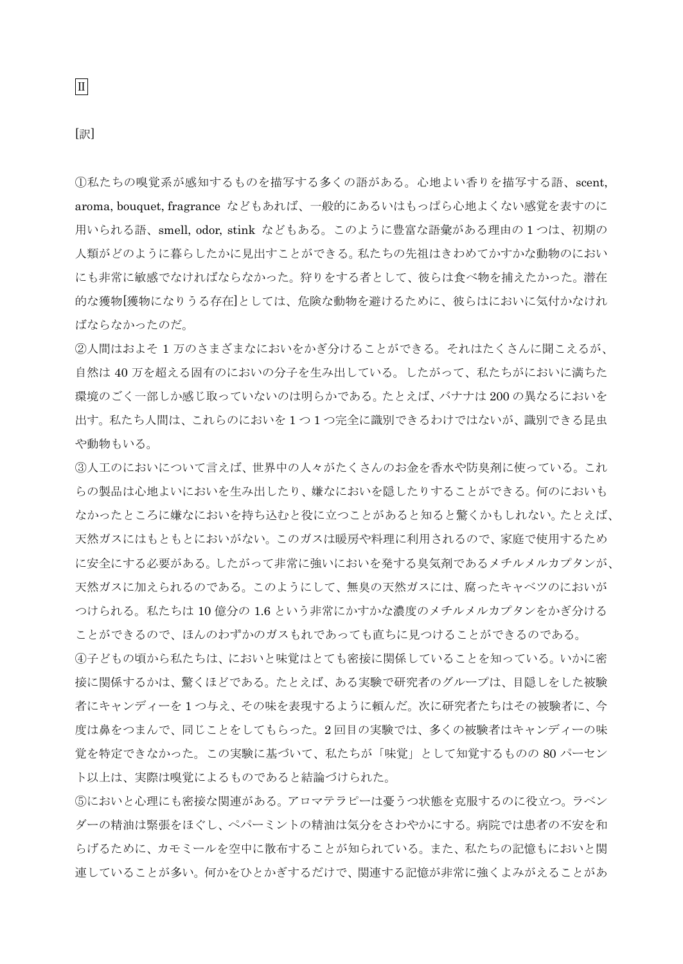①私たちの嗅覚系が感知するものを描写する多くの語がある。心地よい香りを描写する語、scent, aroma, bouquet, fragrance などもあれば、一般的にあるいはもっぱら心地よくない感覚を表すのに 用いられる語、smell, odor, stink などもある。このように豊富な語彙がある理由の 1 つは、初期の 人類がどのように暮らしたかに見出すことができる。私たちの先祖はきわめてかすかな動物のにおい にも非常に敏感でなければならなかった。狩りをする者として、彼らは食べ物を捕えたかった。潜在 的な獲物[獲物になりうる存在]としては、危険な動物を避けるために、彼らはにおいに気付かなけれ ばならなかったのだ。

②人間はおよそ 1 万のさまざまなにおいをかぎ分けることができる。それはたくさんに聞こえるが、 自然は 40 万を超える固有のにおいの分子を生み出している。したがって、私たちがにおいに満ちた 環境のごく一部しか感じ取っていないのは明らかである。たとえば、バナナは 200 の異なるにおいを 出す。私たち人間は、これらのにおいを 1 つ 1 つ完全に識別できるわけではないが、識別できる昆虫 や動物もいる。

③人工のにおいについて言えば、世界中の人々がたくさんのお金を香水や防臭剤に使っている。これ らの製品は心地よいにおいを生み出したり、嫌なにおいを隠したりすることができる。何のにおいも なかったところに嫌なにおいを持ち込むと役に立つことがあると知ると驚くかもしれない。たとえば、 天然ガスにはもともとにおいがない。このガスは暖房や料理に利用されるので、家庭で使用するため に安全にする必要がある。したがって非常に強いにおいを発する臭気剤であるメチルメルカプタンが、 天然ガスに加えられるのである。このようにして、無臭の天然ガスには、腐ったキャベツのにおいが つけられる。私たちは 10 億分の 1.6 という非常にかすかな濃度のメチルメルカプタンをかぎ分ける ことができるので、ほんのわずかのガスもれであっても直ちに見つけることができるのである。

④子どもの頃から私たちは、においと味覚はとても密接に関係していることを知っている。いかに密 接に関係するかは、驚くほどである。たとえば、ある実験で研究者のグループは、目隠しをした被験 者にキャンディーを 1 つ与え、その味を表現するように頼んだ。次に研究者たちはその被験者に、今 度は鼻をつまんで、同じことをしてもらった。2 回目の実験では、多くの被験者はキャンディーの味 覚を特定できなかった。この実験に基づいて、私たちが「味覚」として知覚するものの 80 パーセン ト以上は、実際は嗅覚によるものであると結論づけられた。

⑤においと心理にも密接な関連がある。アロマテラピーは憂うつ状態を克服するのに役立つ。ラベン ダーの精油は緊張をほぐし、ペパーミントの精油は気分をさわやかにする。病院では患者の不安を和 らげるために、カモミールを空中に散布することが知られている。また、私たちの記憶もにおいと関 連していることが多い。何かをひとかぎするだけで、関連する記憶が非常に強くよみがえることがあ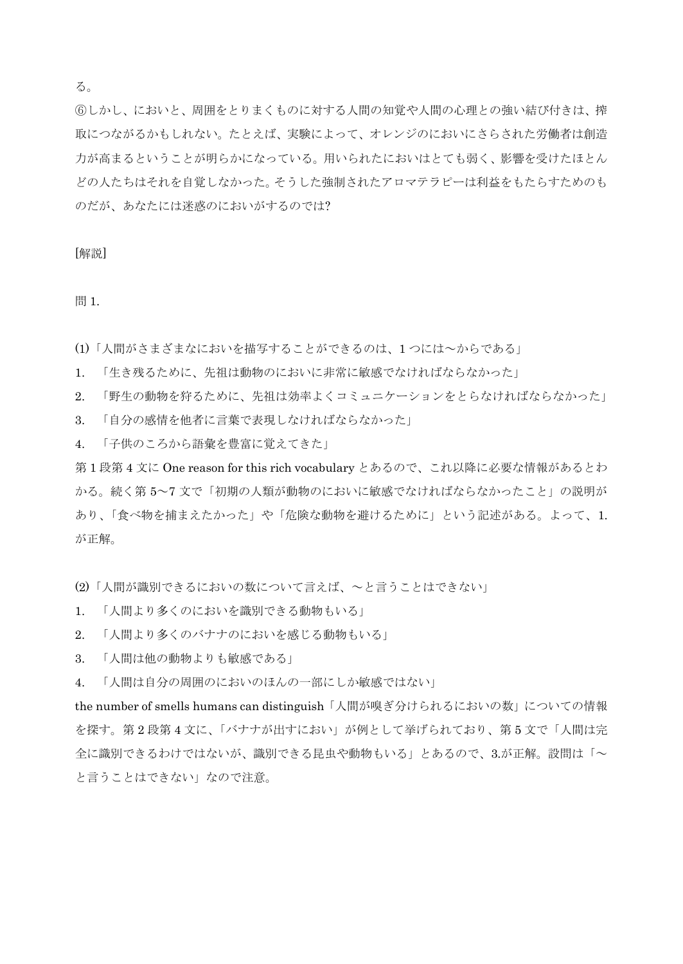る。

⑥しかし、においと、周囲をとりまくものに対する人間の知覚や人間の心理との強い結び付きは、搾 取につながるかもしれない。たとえば、実験によって、オレンジのにおいにさらされた労働者は創造 力が高まるということが明らかになっている。用いられたにおいはとても弱く、影響を受けたほとん どの人たちはそれを自覚しなかった。そうした強制されたアロマテラピーは利益をもたらすためのも のだが、あなたには迷惑のにおいがするのでは?

[解説]

問 1.

(1)「人間がさまざまなにおいを描写することができるのは、1 つには~からである」

1. 「生き残るために、先祖は動物のにおいに非常に敏感でなければならなかった」

2. 「野生の動物を狩るために、先祖は効率よくコミュニケーションをとらなければならなかった」

3. 「自分の感情を他者に言葉で表現しなければならなかった」

4. 「子供のころから語彙を豊富に覚えてきた」

第 1 段第 4 文に One reason for this rich vocabulary とあるので、これ以降に必要な情報があるとわ かる。続く第 5~7 文で「初期の人類が動物のにおいに敏感でなければならなかったこと」の説明が あり、「食べ物を捕まえたかった」や「危険な動物を避けるために」という記述がある。よって、1. が正解。

(2)「人間が識別できるにおいの数について言えば、~と言うことはできない」

1. 「人間より多くのにおいを識別できる動物もいる」

2. 「人間より多くのバナナのにおいを感じる動物もいる」

3. 「人間は他の動物よりも敏感である」

4. 「人間は自分の周囲のにおいのほんの一部にしか敏感ではない」

the number of smells humans can distinguish「人間が嗅ぎ分けられるにおいの数」についての情報 を探す。第 2 段第 4 文に、「バナナが出すにおい」が例として挙げられており、第 5 文で「人間は完 全に識別できるわけではないが、識別できる昆虫や動物もいる」とあるので、3.が正解。設問は「~ と言うことはできない」なので注意。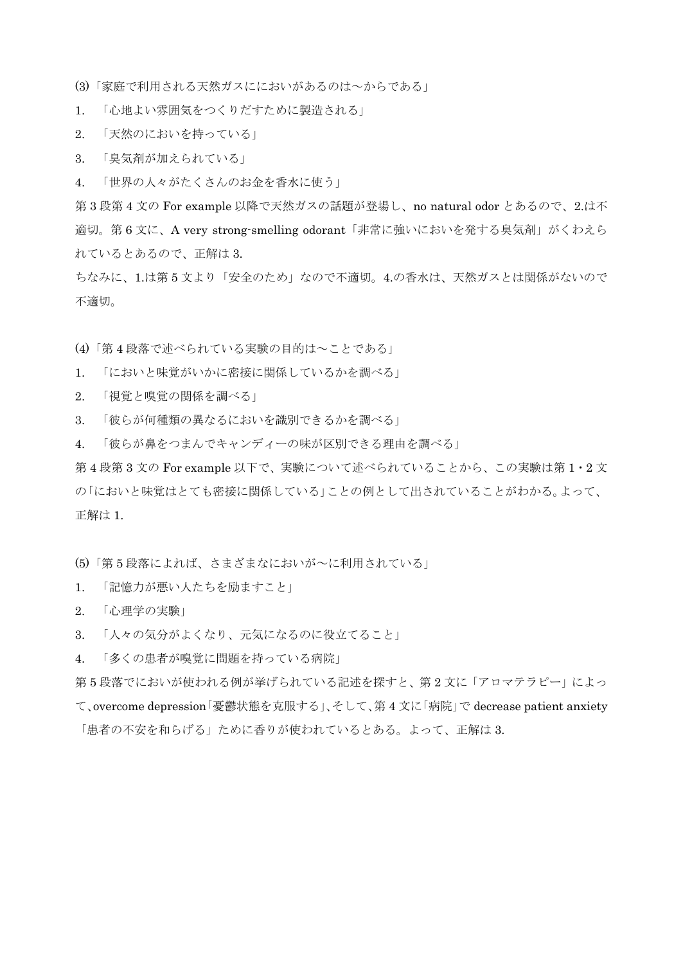(3)「家庭で利用される天然ガスににおいがあるのは~からである」

- 1. 「心地よい雰囲気をつくりだすために製造される」
- 2. 「天然のにおいを持っている」
- 3. 「臭気剤が加えられている」
- 4. 「世界の人々がたくさんのお金を香水に使う」

第 3 段第 4 文の For example 以降で天然ガスの話題が登場し、no natural odor とあるので、2.は不 適切。第 6 文に、A very strong-smelling odorant「非常に強いにおいを発する臭気剤」がくわえら れているとあるので、正解は 3.

ちなみに、1.は第 5 文より「安全のため」なので不適切。4.の香水は、天然ガスとは関係がないので 不適切。

(4)「第 4 段落で述べられている実験の目的は~ことである」

- 1. 「においと味覚がいかに密接に関係しているかを調べる」
- 2. 「視覚と嗅覚の関係を調べる」
- 3. 「彼らが何種類の異なるにおいを識別できるかを調べる」
- 4. 「彼らが鼻をつまんでキャンディーの味が区別できる理由を調べる」

第 4 段第 3 文の For example 以下で、実験について述べられていることから、この実験は第 1・2 文 の「においと味覚はとても密接に関係している」ことの例として出されていることがわかる。よって、 正解は 1.

(5)「第 5 段落によれば、さまざまなにおいが~に利用されている」

- 1. 「記憶力が悪い人たちを励ますこと」
- 2. 「心理学の実験」
- 3. 「人々の気分がよくなり、元気になるのに役立てること」
- 4. 「多くの患者が嗅覚に問題を持っている病院」

第 5 段落でにおいが使われる例が挙げられている記述を探すと、第 2 文に「アロマテラピー」によっ て、overcome depression「憂鬱状態を克服する」、そして、第 4 文に「病院」で decrease patient anxiety 「患者の不安を和らげる」ために香りが使われているとある。よって、正解は 3.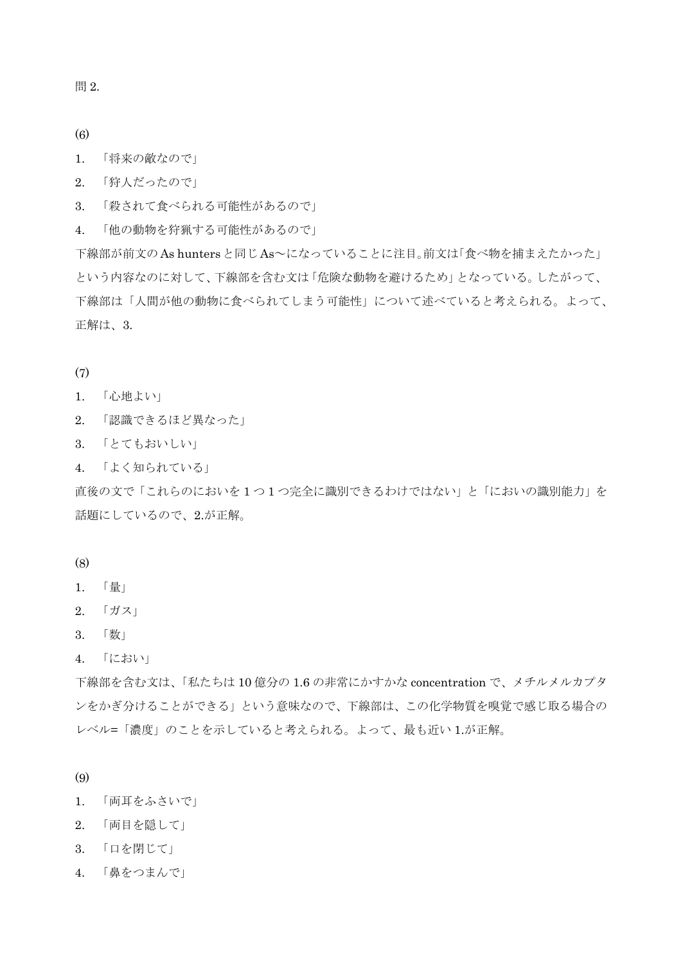問 2.

(6)

- 1. 「将来の敵なので」
- 2. 「狩人だったので」
- 3. 「殺されて食べられる可能性があるので」
- 4. 「他の動物を狩猟する可能性があるので」

下線部が前文の As huntersと同じ As~になっていることに注目。前文は「食べ物を捕まえたかった」 という内容なのに対して、下線部を含む文は「危険な動物を避けるため」となっている。したがって、 下線部は「人間が他の動物に食べられてしまう可能性」について述べていると考えられる。よって、 正解は、3.

(7)

- 1. 「心地よい」
- 2. 「認識できるほど異なった」
- 3. 「とてもおいしい」
- 4. 「よく知られている」

直後の文で「これらのにおいを 1 つ 1 つ完全に識別できるわけではない」と「においの識別能力」を 話題にしているので、2.が正解。

- (8)
- 1. 「量」
- 2. 「ガス」
- 3. 「数」
- 4. 「におい」

下線部を含む文は、「私たちは 10 億分の 1.6 の非常にかすかな concentration で、メチルメルカプタ ンをかぎ分けることができる」という意味なので、下線部は、この化学物質を嗅覚で感じ取る場合の レベル=「濃度」のことを示していると考えられる。よって、最も近い 1.が正解。

(9)

- 1. 「両耳をふさいで」
- 2. 「両目を隠して」
- 3. 「口を閉じて」
- 4. 「鼻をつまんで」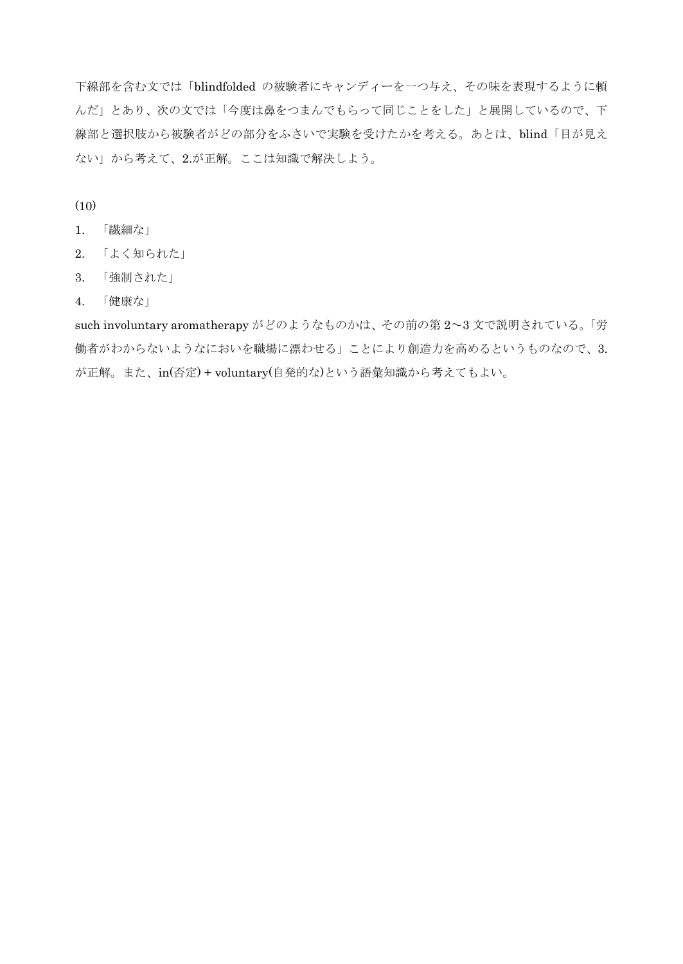下線部を含む文では「blindfolded の被験者にキャンディーを一つ与え、その味を表現するように頼 んだ」とあり、次の文では「今度は鼻をつまんでもらって同じことをした」と展開しているので、下 線部と選択肢から被験者がどの部分をふさいで実験を受けたかを考える。あとは、blind「目が見え ない」から考えて、2.が正解。ここは知識で解決しよう。

(10)

- 1. 「繊細な」
- 2. 「よく知られた」
- 3. 「強制された」
- 4. 「健康な」

such involuntary aromatherapy がどのようなものかは、その前の第 2~3 文で説明されている。「労 働者がわからないようなにおいを職場に漂わせる」ことにより創造力を高めるというものなので、3. が正解。また、in(否定) + voluntary(自発的な)という語彙知識から考えてもよい。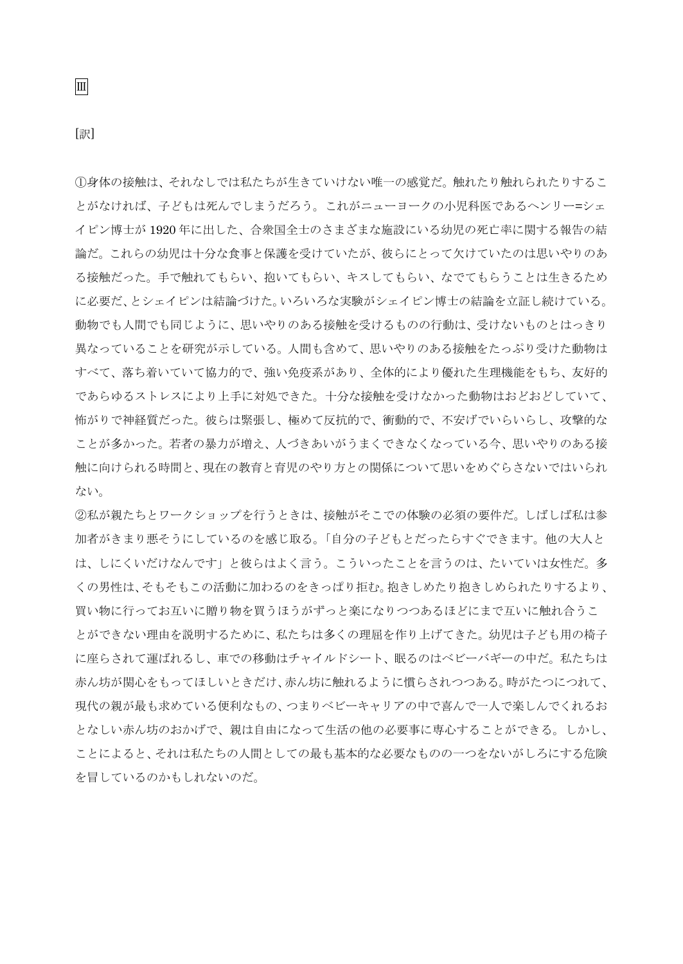[訳]

①身体の接触は、それなしでは私たちが生きていけない唯一の感覚だ。触れたり触れられたりするこ とがなければ、子どもは死んでしまうだろう。これがニューヨークの小児科医であるヘンリー=シェ イピン博士が 1920 年に出した、合衆国全士のさまざまな施設にいる幼児の死亡率に関する報告の結 論だ。これらの幼児は十分な食事と保護を受けていたが、彼らにとって欠けていたのは思いやりのあ る接触だった。手で触れてもらい、抱いてもらい、キスしてもらい、なでてもらうことは生きるため に必要だ、とシェイピンは結論づけた。いろいろな実験がシェイピン博士の結論を立証し続けている。 動物でも人間でも同じように、思いやりのある接触を受けるものの行動は、受けないものとはっきり 異なっていることを研究が示している。人間も含めて、思いやりのある接触をたっぷり受けた動物は すべて、落ち着いていて協力的で、強い免疫系があり、全体的により優れた生理機能をもち、友好的 であらゆるストレスにより上手に対処できた。十分な接触を受けなかった動物はおどおどしていて、 怖がりで神経質だった。彼らは緊張し、極めて反抗的で、衝動的で、不安げでいらいらし、攻撃的な ことが多かった。若者の暴力が増え、人づきあいがうまくできなくなっている今、思いやりのある接 触に向けられる時間と、現在の教育と育児のやり方との関係について思いをめぐらさないではいられ ない。

②私が親たちとワークショップを行うときは、接触がそこでの体験の必須の要件だ。しばしば私は参 加者がきまり悪そうにしているのを感じ取る。「自分の子どもとだったらすぐできます。他の大人と は、しにくいだけなんです」と彼らはよく言う。こういったことを言うのは、たいていは女性だ。多 くの男性は、そもそもこの活動に加わるのをきっぱり拒む。抱きしめたり抱きしめられたりするより、 買い物に行ってお互いに贈り物を買うほうがずっと楽になりつつあるほどにまで互いに触れ合うこ とができない理由を説明するために、私たちは多くの理屈を作り上げてきた。幼児は子ども用の椅子 に座らされて運ばれるし、車での移動はチャイルドシート、眠るのはベビーバギーの中だ。私たちは 赤ん坊が関心をもってほしいときだけ、赤ん坊に触れるように慣らされつつある。時がたつにつれて、 現代の親が最も求めている便利なもの、つまりベビーキャリアの中で喜んで一人で楽しんでくれるお となしい赤ん坊のおかげで、親は自由になって生活の他の必要事に専心することができる。しかし、 ことによると、それは私たちの人間としての最も基本的な必要なものの一つをないがしろにする危険 を冒しているのかもしれないのだ。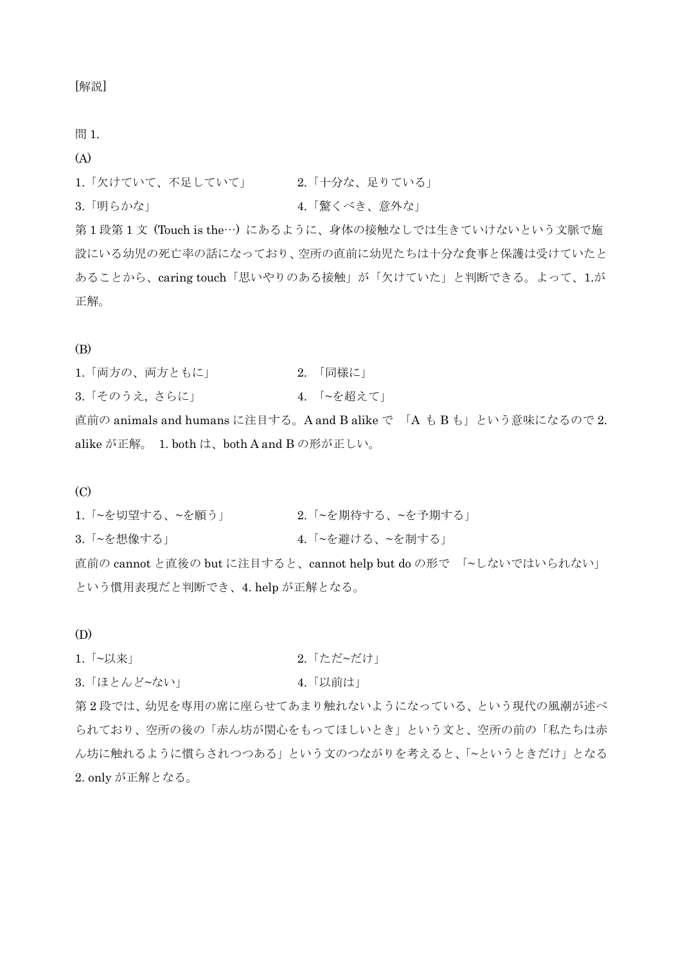#### [解説]

#### 問 1.

(A)

- 1.「欠けていて、不足していて」 2.「十分な、足りている」
- 3.「明らかな」 インコン イン イン イン イングランド インタイ インタイ あいこう インタイ こうかい インタイ こうかい こうかん こうかん こうかん こうかん こうかん こうかん こうかん こうかい こうかん こうかん こうかん こうかん こうかい こうかい こうかい こうかい こうかん こうかい こうかい こうかい こうかい こうかい

第1段第1文 (Touch is the…)にあるように、身体の接触なしでは生きていけないという文脈で施 設にいる幼児の死亡率の話になっており、空所の直前に幼児たちは十分な食事と保護は受けていたと あることから、caring touch「思いやりのある接触」が「欠けていた」と判断できる。よって、1.が 正解。

#### (B)

1.「両方の、両方ともに」 2. 「同様に」

3. 「そのうえ、さらに」 イ. 「~を超えて」

直前の animals and humans に注目する。A and B alike で 「A も B も」という意味になるので 2. alike が正解。 1. both は、both A and B の形が正しい。

(C)

1.「~を切望する、~を願う」 2.「~を期待する、~を予期する」 3. 「~を想像する」 インファイン インタイム インター 4. 「~を避ける、~を制する」 直前の cannot と直後の but に注目すると、cannot help but do の形で 「~しないではいられない」 という慣用表現だと判断でき、4. help が正解となる。

(D)

1.「~以来」 2.「ただ~だけ」

3. 「ほとんど~ない」 4. 「以前は」

第 2 段では、幼児を専用の席に座らせてあまり触れないようになっている、という現代の風潮が述べ られており、空所の後の「赤ん坊が関心をもってほしいとき」という文と、空所の前の「私たちは赤 ん坊に触れるように慣らされつつある」という文のつながりを考えると、「~というときだけ」となる 2. only が正解となる。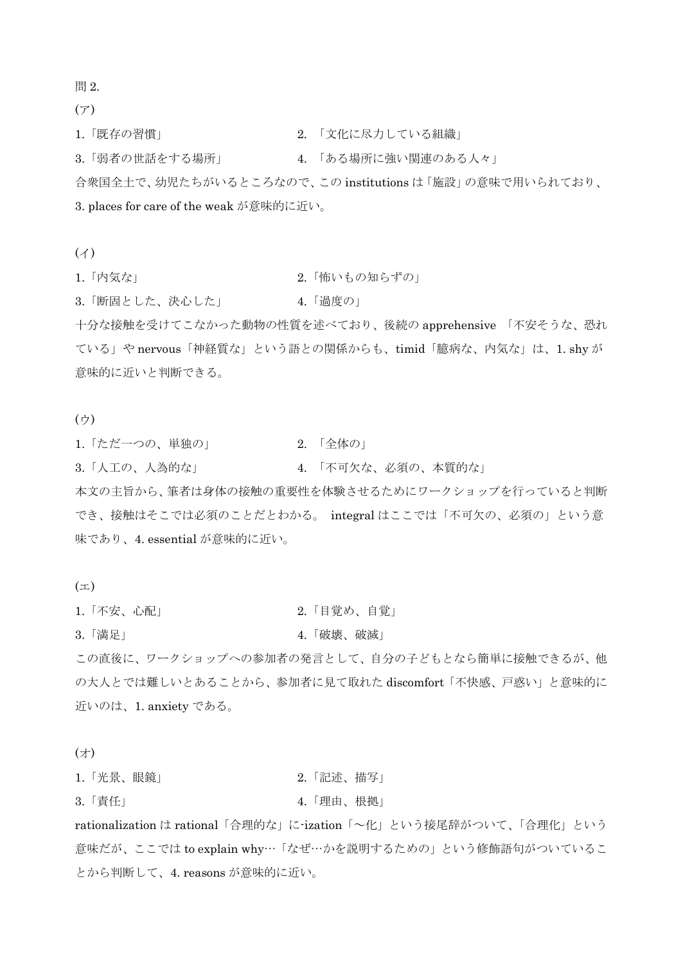問 2.

(ア)

1.「既存の習慣」 2. 「文化に尽力している組織」 3.「弱者の世話をする場所」 4. 「ある場所に強い関連のある人々」 合衆国全土で、幼児たちがいるところなので、この institutions は「施設」の意味で用いられており、 3. places for care of the weak が意味的に近い。

(イ)

1.「内気な」 2.「怖いもの知らずの」

3.「断固とした、決心した」 4.「過度の」

十分な接触を受けてこなかった動物の性質を述べており、後続の apprehensive 「不安そうな、恐れ ている」や nervous「神経質な」という語との関係からも、timid「臆病な、内気な」は、1. shy が 意味的に近いと判断できる。

(ウ)

1.「ただ一つの、単独の」 2. 「全体の」

3.「人工の、人為的な」 4. 「不可欠な、必須の、本質的な」

本文の主旨から、筆者は身体の接触の重要性を体験させるためにワークショップを行っていると判断 でき、接触はそこでは必須のことだとわかる。 integral はここでは「不可欠の、必須の」という意 味であり、4. essential が意味的に近い。

(エ)

1.「不安、心配」 2.「目覚め、自覚」

3. 「満足」 インコンクランス インタンス 4. 「破壊、破滅」

この直後に、ワークショップへの参加者の発言として、自分の子どもとなら簡単に接触できるが、他 の大人とでは難しいとあることから、参加者に見て取れた discomfort「不快感、戸惑い」と意味的に 近いのは、1. anxiety である。

(オ)

1.「光景、眼鏡」 2.「記述、描写」

3.「責任」 4.「理由、根拠」

rationalization は rational「合理的な」に-ization「~化」という接尾辞がついて、「合理化」という 意味だが、ここでは to explain why…「なぜ…かを説明するための」という修飾語句がついているこ とから判断して、4. reasons が意味的に近い。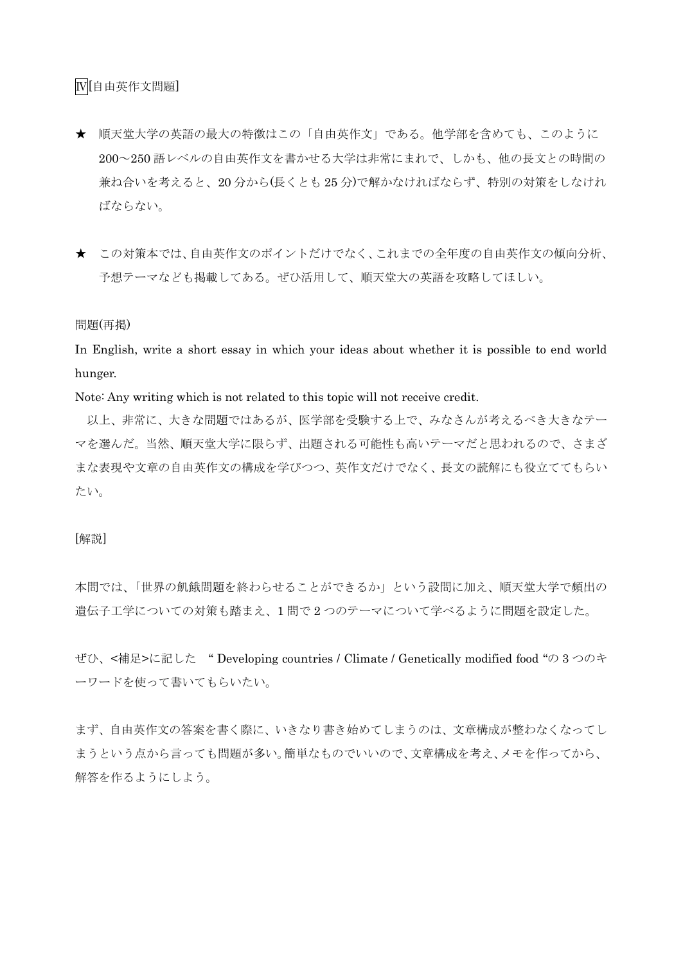Ⅳ[自由英作文問題]

- ★ 順天堂大学の英語の最大の特徴はこの「自由英作文」である。他学部を含めても、このように 200~250 語レベルの自由英作文を書かせる大学は非常にまれで、しかも、他の長文との時間の 兼ね合いを考えると、20 分から(長くとも 25 分)で解かなければならず、特別の対策をしなけれ ばならない。
- ★ この対策本では、自由英作文のポイントだけでなく、これまでの全年度の自由英作文の傾向分析、 予想テーマなども掲載してある。ぜひ活用して、順天堂大の英語を攻略してほしい。

問題(再掲)

In English, write a short essay in which your ideas about whether it is possible to end world hunger.

Note: Any writing which is not related to this topic will not receive credit.

以上、非常に、大きな問題ではあるが、医学部を受験する上で、みなさんが考えるべき大きなテー マを選んだ。当然、順天堂大学に限らず、出題される可能性も高いテーマだと思われるので、さまざ まな表現や文章の自由英作文の構成を学びつつ、英作文だけでなく、長文の読解にも役立ててもらい たい。

[解説]

本問では、「世界の飢餓問題を終わらせることができるか」という設問に加え、順天堂大学で頻出の 遺伝子工学についての対策も踏まえ、1 問で 2 つのテーマについて学べるように問題を設定した。

ぜひ、<補足>に記した " Developing countries / Climate / Genetically modified food "の 3 つのキ ーワードを使って書いてもらいたい。

まず、自由英作文の答案を書く際に、いきなり書き始めてしまうのは、文章構成が整わなくなってし まうという点から言っても問題が多い。簡単なものでいいので、文章構成を考え、メモを作ってから、 解答を作るようにしよう。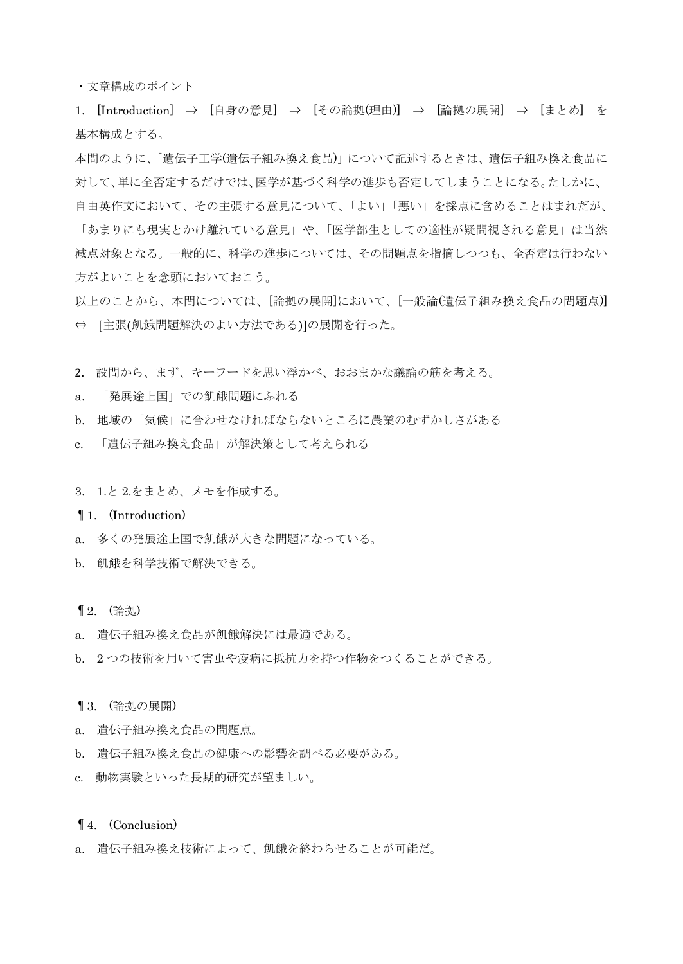・文章構成のポイント

1. [Introduction] ⇒ [自身の意見] ⇒ [その論拠(理由)] ⇒ [論拠の展開] ⇒ [まとめ] を 基本構成とする。

本問のように、「遺伝子工学(遺伝子組み換え食品)」について記述するときは、遺伝子組み換え食品に 対して、単に全否定するだけでは、医学が基づく科学の進歩も否定してしまうことになる。たしかに、 自由英作文において、その主張する意見について、「よい」「悪い」を採点に含めることはまれだが、

「あまりにも現実とかけ離れている意見」や、「医学部生としての適性が疑問視される意見」は当然 減点対象となる。一般的に、科学の進歩については、その問題点を指摘しつつも、全否定は行わない 方がよいことを念頭においておこう。

以上のことから、本問については、[論拠の展開]において、[一般論(遺伝子組み換え食品の問題点)] ⇔ [主張(飢餓問題解決のよい方法である)]の展開を行った。

2. 設問から、まず、キーワードを思い浮かべ、おおまかな議論の筋を考える。

- a. 「発展途上国」での飢餓問題にふれる
- b. 地域の「気候」に合わせなければならないところに農業のむずかしさがある
- c. 「遺伝子組み換え食品」が解決策として考えられる

3. 1.と 2.をまとめ、メモを作成する。

### ¶1. (Introduction)

- a. 多くの発展途上国で飢餓が大きな問題になっている。
- b. 飢餓を科学技術で解決できる。

#### ¶2. (論拠)

- a. 遺伝子組み換え食品が飢餓解決には最適である。
- b. 2 つの技術を用いて害虫や疫病に抵抗力を持つ作物をつくることができる。

#### ¶3. (論拠の展開)

- a. 遺伝子組み換え食品の問題点。
- b. 遺伝子組み換え食品の健康への影響を調べる必要がある。
- c. 動物実験といった長期的研究が望ましい。

## ¶4. (Conclusion)

a. 遺伝子組み換え技術によって、飢餓を終わらせることが可能だ。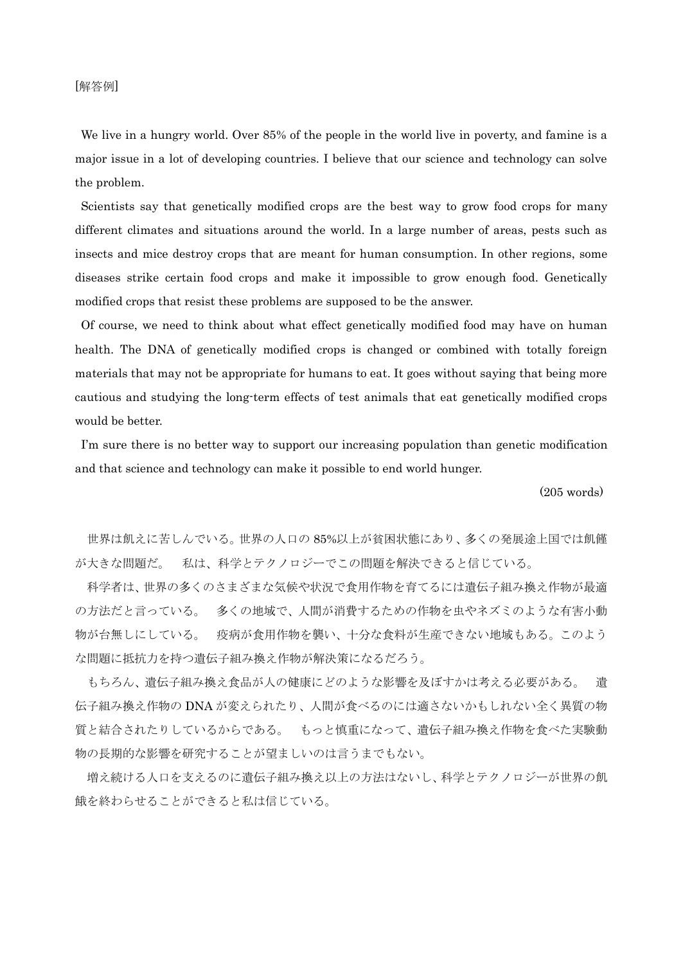We live in a hungry world. Over 85% of the people in the world live in poverty, and famine is a major issue in a lot of developing countries. I believe that our science and technology can solve the problem.

Scientists say that genetically modified crops are the best way to grow food crops for many different climates and situations around the world. In a large number of areas, pests such as insects and mice destroy crops that are meant for human consumption. In other regions, some diseases strike certain food crops and make it impossible to grow enough food. Genetically modified crops that resist these problems are supposed to be the answer.

Of course, we need to think about what effect genetically modified food may have on human health. The DNA of genetically modified crops is changed or combined with totally foreign materials that may not be appropriate for humans to eat. It goes without saying that being more cautious and studying the long-term effects of test animals that eat genetically modified crops would be better.

I'm sure there is no better way to support our increasing population than genetic modification and that science and technology can make it possible to end world hunger.

(205 words)

世界は飢えに苦しんでいる。世界の人口の 85%以上が貧困状態にあり、多くの発展途上国では飢饉 が大きな問題だ。 私は、科学とテクノロジーでこの問題を解決できると信じている。

科学者は、世界の多くのさまざまな気候や状況で食用作物を育てるには遺伝子組み換え作物が最適 の方法だと言っている。 多くの地域で、人間が消費するための作物を虫やネズミのような有害小動 物が台無しにしている。 疫病が食用作物を襲い、十分な食料が生産できない地域もある。このよう な問題に抵抗力を持つ遺伝子組み換え作物が解決策になるだろう。

もちろん、遺伝子組み換え食品が人の健康にどのような影響を及ぼすかは考える必要がある。 遺 伝子組み換え作物の DNA が変えられたり、人間が食べるのには適さないかもしれない全く異質の物 質と結合されたりしているからである。 もっと慎重になって、遺伝子組み換え作物を食べた実験動 物の長期的な影響を研究することが望ましいのは言うまでもない。

増え続ける人口を支えるのに遺伝子組み換え以上の方法はないし、科学とテクノロジーが世界の飢 餓を終わらせることができると私は信じている。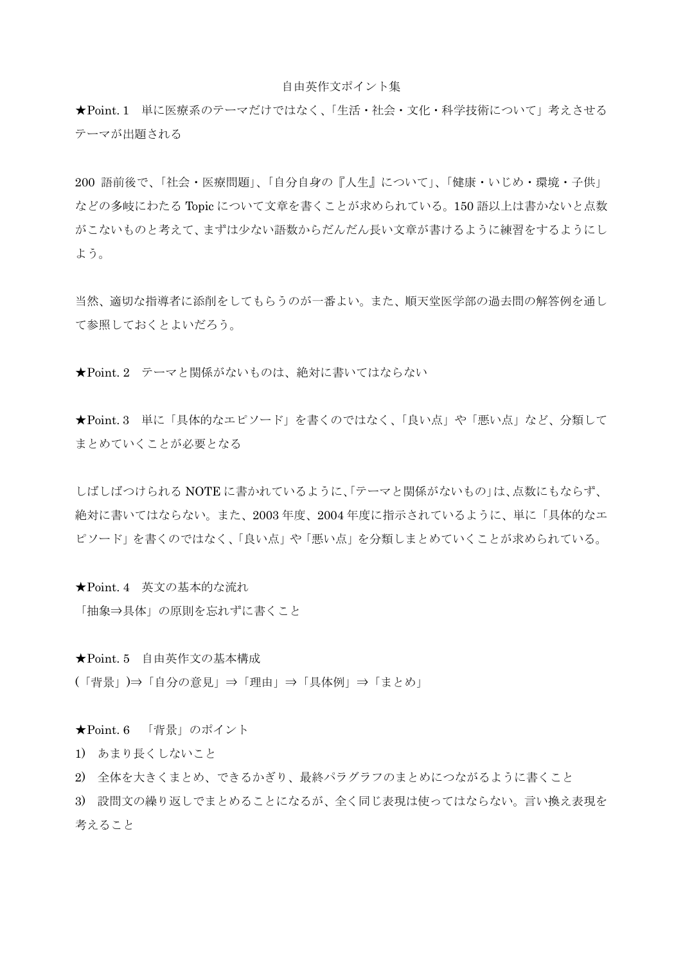#### 自由英作文ポイント集

★Point. 1 単に医療系のテーマだけではなく、「生活・社会・文化・科学技術について」考えさせる テーマが出題される

200 語前後で、「社会・医療問題」、「自分自身の『人生』について」、「健康・いじめ・環境・子供」 などの多岐にわたる Topic について文章を書くことが求められている。150 語以上は書かないと点数 がこないものと考えて、まずは少ない語数からだんだん長い文章が書けるように練習をするようにし よう。

当然、適切な指導者に添削をしてもらうのが一番よい。また、順天堂医学部の過去問の解答例を通し て参照しておくとよいだろう。

★Point. 2 テーマと関係がないものは、絶対に書いてはならない

★Point. 3 単に「具体的なエピソード」を書くのではなく、「良い点」や「悪い点」など、分類して まとめていくことが必要となる

しばしばつけられる NOTE に書かれているように、「テーマと関係がないもの」は、点数にもならず、 絶対に書いてはならない。また、2003 年度、2004 年度に指示されているように、単に「具体的なエ ピソード」を書くのではなく、「良い点」や「悪い点」を分類しまとめていくことが求められている。

★Point. 4 英文の基本的な流れ

「抽象⇒具体」の原則を忘れずに書くこと

★Point. 5 自由英作文の基本構成

(「背景」)⇒「自分の意見」⇒「理由」⇒「具体例」⇒「まとめ」

**★Point. 6 「背景」のポイント** 

1) あまり長くしないこと

2) 全体を大きくまとめ、できるかぎり、最終パラグラフのまとめにつながるように書くこと

3) 設問文の繰り返しでまとめることになるが、全く同じ表現は使ってはならない。言い換え表現を 考えること